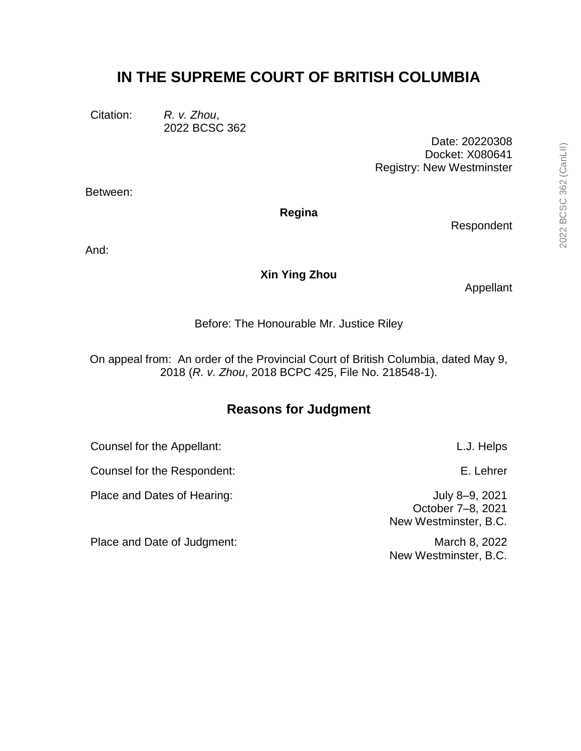# **IN THE SUPREME COURT OF BRITISH COLUMBIA**

Citation: *R. v. Zhou*, 2022 BCSC 362

> Date: 20220308 Docket: X080641 Registry: New Westminster

Between:

**Regina**

Respondent

And:

# **Xin Ying Zhou**

Appellant

Before: The Honourable Mr. Justice Riley

On appeal from: An order of the Provincial Court of British Columbia, dated May 9, 2018 (*R. v. Zhou*, 2018 BCPC 425, File No. 218548-1).

# **Reasons for Judgment**

Counsel for the Appellant: L.J. Helps Counsel for the Respondent: E. Lehrer Place and Dates of Hearing:  $July 8-9, 2021$ New Westminster, B.C. Place and Date of Judgment: March 8, 2022

October 7–8, 2021

New Westminster, B.C.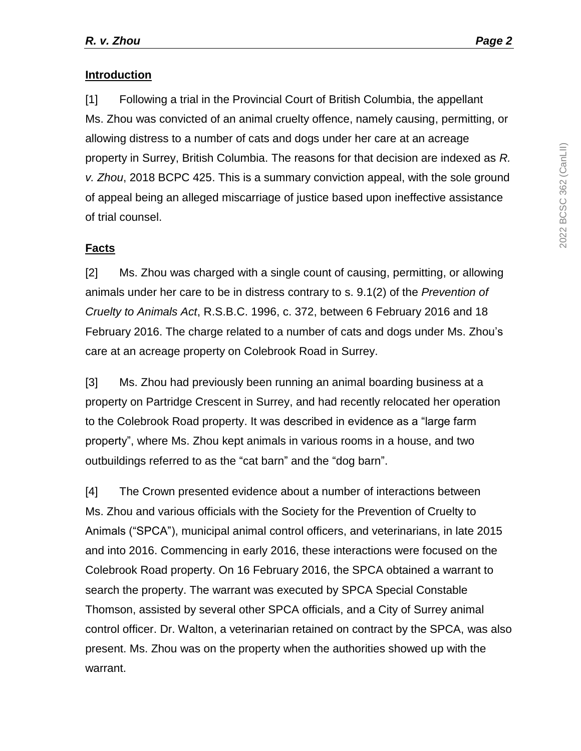# **Introduction**

[1] Following a trial in the Provincial Court of British Columbia, the appellant Ms. Zhou was convicted of an animal cruelty offence, namely causing, permitting, or allowing distress to a number of cats and dogs under her care at an acreage property in Surrey, British Columbia. The reasons for that decision are indexed as *R. v. Zhou*, 2018 BCPC 425. This is a summary conviction appeal, with the sole ground of appeal being an alleged miscarriage of justice based upon ineffective assistance of trial counsel.

# **Facts**

[2] Ms. Zhou was charged with a single count of causing, permitting, or allowing animals under her care to be in distress contrary to s. 9.1(2) of the *Prevention of Cruelty to Animals Act*, R.S.B.C. 1996, c. 372, between 6 February 2016 and 18 February 2016. The charge related to a number of cats and dogs under Ms. Zhou's care at an acreage property on Colebrook Road in Surrey.

[3] Ms. Zhou had previously been running an animal boarding business at a property on Partridge Crescent in Surrey, and had recently relocated her operation to the Colebrook Road property. It was described in evidence as a "large farm property", where Ms. Zhou kept animals in various rooms in a house, and two outbuildings referred to as the "cat barn" and the "dog barn".

[4] The Crown presented evidence about a number of interactions between Ms. Zhou and various officials with the Society for the Prevention of Cruelty to Animals ("SPCA"), municipal animal control officers, and veterinarians, in late 2015 and into 2016. Commencing in early 2016, these interactions were focused on the Colebrook Road property. On 16 February 2016, the SPCA obtained a warrant to search the property. The warrant was executed by SPCA Special Constable Thomson, assisted by several other SPCA officials, and a City of Surrey animal control officer. Dr. Walton, a veterinarian retained on contract by the SPCA, was also present. Ms. Zhou was on the property when the authorities showed up with the warrant.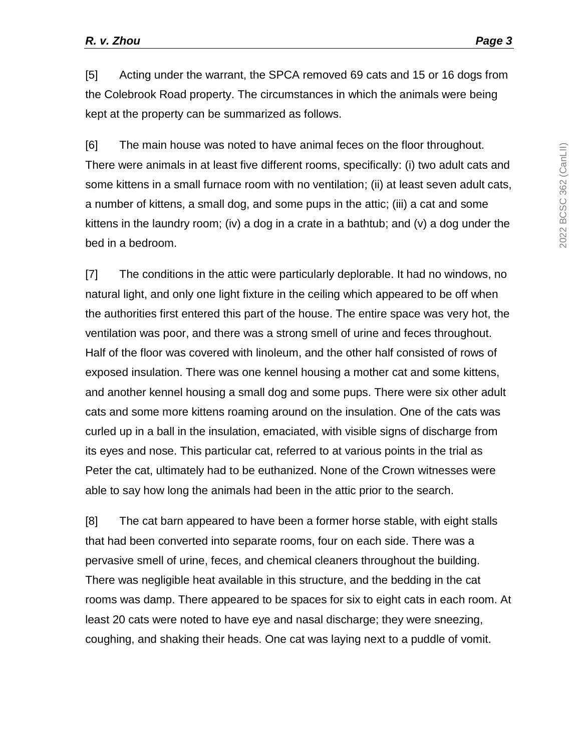[5] Acting under the warrant, the SPCA removed 69 cats and 15 or 16 dogs from the Colebrook Road property. The circumstances in which the animals were being kept at the property can be summarized as follows.

[6] The main house was noted to have animal feces on the floor throughout. There were animals in at least five different rooms, specifically: (i) two adult cats and some kittens in a small furnace room with no ventilation; (ii) at least seven adult cats, a number of kittens, a small dog, and some pups in the attic; (iii) a cat and some kittens in the laundry room; (iv) a dog in a crate in a bathtub; and (v) a dog under the bed in a bedroom.

[7] The conditions in the attic were particularly deplorable. It had no windows, no natural light, and only one light fixture in the ceiling which appeared to be off when the authorities first entered this part of the house. The entire space was very hot, the ventilation was poor, and there was a strong smell of urine and feces throughout. Half of the floor was covered with linoleum, and the other half consisted of rows of exposed insulation. There was one kennel housing a mother cat and some kittens, and another kennel housing a small dog and some pups. There were six other adult cats and some more kittens roaming around on the insulation. One of the cats was curled up in a ball in the insulation, emaciated, with visible signs of discharge from its eyes and nose. This particular cat, referred to at various points in the trial as Peter the cat, ultimately had to be euthanized. None of the Crown witnesses were able to say how long the animals had been in the attic prior to the search.

[8] The cat barn appeared to have been a former horse stable, with eight stalls that had been converted into separate rooms, four on each side. There was a pervasive smell of urine, feces, and chemical cleaners throughout the building. There was negligible heat available in this structure, and the bedding in the cat rooms was damp. There appeared to be spaces for six to eight cats in each room. At least 20 cats were noted to have eye and nasal discharge; they were sneezing, coughing, and shaking their heads. One cat was laying next to a puddle of vomit.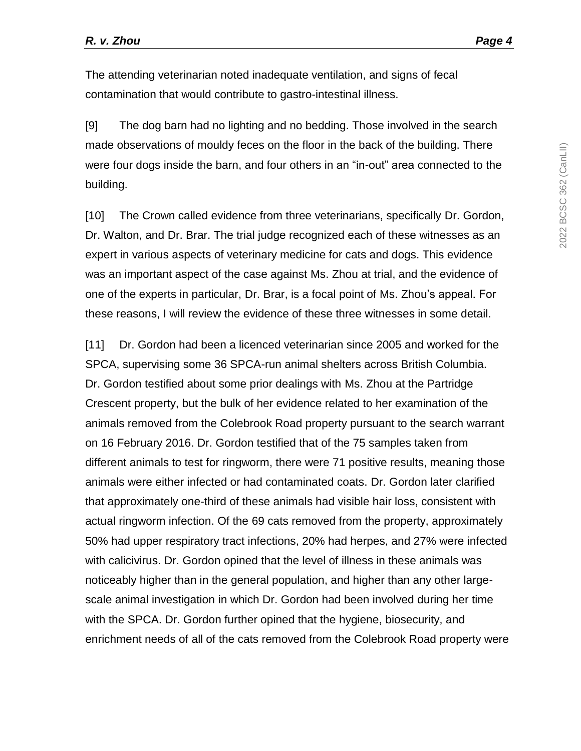The attending veterinarian noted inadequate ventilation, and signs of fecal contamination that would contribute to gastro-intestinal illness.

[9] The dog barn had no lighting and no bedding. Those involved in the search made observations of mouldy feces on the floor in the back of the building. There were four dogs inside the barn, and four others in an "in-out" area connected to the building.

[10] The Crown called evidence from three veterinarians, specifically Dr. Gordon, Dr. Walton, and Dr. Brar. The trial judge recognized each of these witnesses as an expert in various aspects of veterinary medicine for cats and dogs. This evidence was an important aspect of the case against Ms. Zhou at trial, and the evidence of one of the experts in particular, Dr. Brar, is a focal point of Ms. Zhou's appeal. For these reasons, I will review the evidence of these three witnesses in some detail.

[11] Dr. Gordon had been a licenced veterinarian since 2005 and worked for the SPCA, supervising some 36 SPCA-run animal shelters across British Columbia. Dr. Gordon testified about some prior dealings with Ms. Zhou at the Partridge Crescent property, but the bulk of her evidence related to her examination of the animals removed from the Colebrook Road property pursuant to the search warrant on 16 February 2016. Dr. Gordon testified that of the 75 samples taken from different animals to test for ringworm, there were 71 positive results, meaning those animals were either infected or had contaminated coats. Dr. Gordon later clarified that approximately one-third of these animals had visible hair loss, consistent with actual ringworm infection. Of the 69 cats removed from the property, approximately 50% had upper respiratory tract infections, 20% had herpes, and 27% were infected with calicivirus. Dr. Gordon opined that the level of illness in these animals was noticeably higher than in the general population, and higher than any other largescale animal investigation in which Dr. Gordon had been involved during her time with the SPCA. Dr. Gordon further opined that the hygiene, biosecurity, and enrichment needs of all of the cats removed from the Colebrook Road property were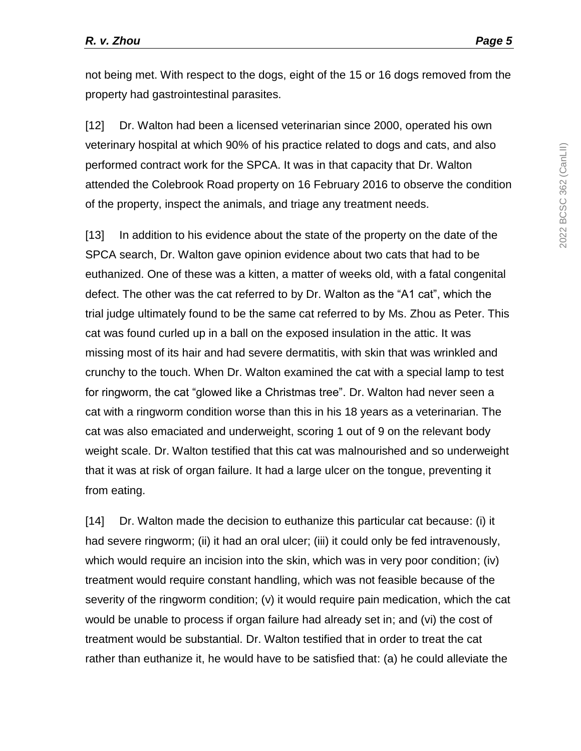not being met. With respect to the dogs, eight of the 15 or 16 dogs removed from the property had gastrointestinal parasites.

[12] Dr. Walton had been a licensed veterinarian since 2000, operated his own veterinary hospital at which 90% of his practice related to dogs and cats, and also performed contract work for the SPCA. It was in that capacity that Dr. Walton attended the Colebrook Road property on 16 February 2016 to observe the condition of the property, inspect the animals, and triage any treatment needs.

[13] In addition to his evidence about the state of the property on the date of the SPCA search, Dr. Walton gave opinion evidence about two cats that had to be euthanized. One of these was a kitten, a matter of weeks old, with a fatal congenital defect. The other was the cat referred to by Dr. Walton as the "A1 cat", which the trial judge ultimately found to be the same cat referred to by Ms. Zhou as Peter. This cat was found curled up in a ball on the exposed insulation in the attic. It was missing most of its hair and had severe dermatitis, with skin that was wrinkled and crunchy to the touch. When Dr. Walton examined the cat with a special lamp to test for ringworm, the cat "glowed like a Christmas tree". Dr. Walton had never seen a cat with a ringworm condition worse than this in his 18 years as a veterinarian. The cat was also emaciated and underweight, scoring 1 out of 9 on the relevant body weight scale. Dr. Walton testified that this cat was malnourished and so underweight that it was at risk of organ failure. It had a large ulcer on the tongue, preventing it from eating.

[14] Dr. Walton made the decision to euthanize this particular cat because: (i) it had severe ringworm; (ii) it had an oral ulcer; (iii) it could only be fed intravenously, which would require an incision into the skin, which was in very poor condition; (iv) treatment would require constant handling, which was not feasible because of the severity of the ringworm condition; (v) it would require pain medication, which the cat would be unable to process if organ failure had already set in; and (vi) the cost of treatment would be substantial. Dr. Walton testified that in order to treat the cat rather than euthanize it, he would have to be satisfied that: (a) he could alleviate the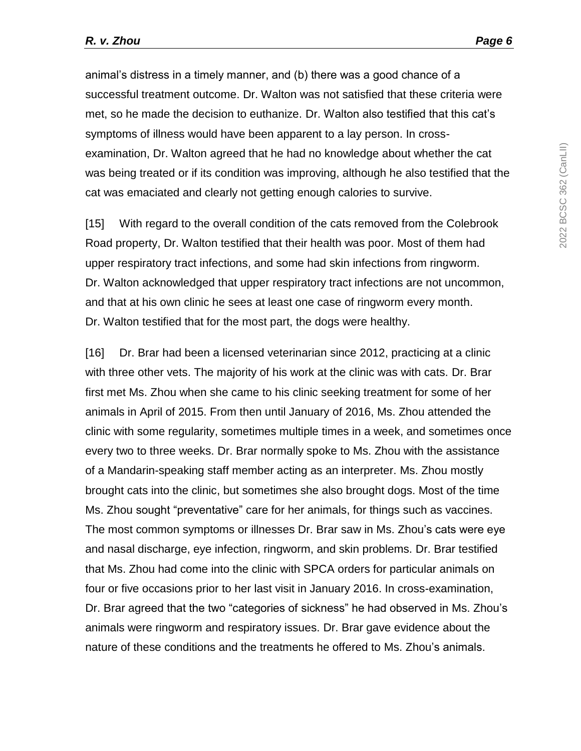animal's distress in a timely manner, and (b) there was a good chance of a successful treatment outcome. Dr. Walton was not satisfied that these criteria were met, so he made the decision to euthanize. Dr. Walton also testified that this cat's symptoms of illness would have been apparent to a lay person. In crossexamination, Dr. Walton agreed that he had no knowledge about whether the cat was being treated or if its condition was improving, although he also testified that the cat was emaciated and clearly not getting enough calories to survive.

[15] With regard to the overall condition of the cats removed from the Colebrook Road property, Dr. Walton testified that their health was poor. Most of them had upper respiratory tract infections, and some had skin infections from ringworm. Dr. Walton acknowledged that upper respiratory tract infections are not uncommon, and that at his own clinic he sees at least one case of ringworm every month. Dr. Walton testified that for the most part, the dogs were healthy.

[16] Dr. Brar had been a licensed veterinarian since 2012, practicing at a clinic with three other vets. The majority of his work at the clinic was with cats. Dr. Brar first met Ms. Zhou when she came to his clinic seeking treatment for some of her animals in April of 2015. From then until January of 2016, Ms. Zhou attended the clinic with some regularity, sometimes multiple times in a week, and sometimes once every two to three weeks. Dr. Brar normally spoke to Ms. Zhou with the assistance of a Mandarin-speaking staff member acting as an interpreter. Ms. Zhou mostly brought cats into the clinic, but sometimes she also brought dogs. Most of the time Ms. Zhou sought "preventative" care for her animals, for things such as vaccines. The most common symptoms or illnesses Dr. Brar saw in Ms. Zhou's cats were eye and nasal discharge, eye infection, ringworm, and skin problems. Dr. Brar testified that Ms. Zhou had come into the clinic with SPCA orders for particular animals on four or five occasions prior to her last visit in January 2016. In cross-examination, Dr. Brar agreed that the two "categories of sickness" he had observed in Ms. Zhou's animals were ringworm and respiratory issues. Dr. Brar gave evidence about the nature of these conditions and the treatments he offered to Ms. Zhou's animals.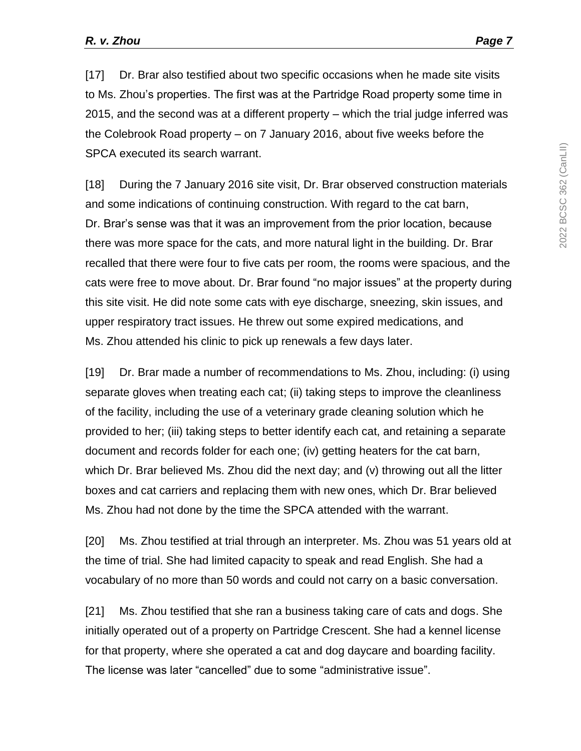[17] Dr. Brar also testified about two specific occasions when he made site visits to Ms. Zhou's properties. The first was at the Partridge Road property some time in 2015, and the second was at a different property – which the trial judge inferred was the Colebrook Road property – on 7 January 2016, about five weeks before the SPCA executed its search warrant.

[18] During the 7 January 2016 site visit, Dr. Brar observed construction materials and some indications of continuing construction. With regard to the cat barn, Dr. Brar's sense was that it was an improvement from the prior location, because there was more space for the cats, and more natural light in the building. Dr. Brar recalled that there were four to five cats per room, the rooms were spacious, and the cats were free to move about. Dr. Brar found "no major issues" at the property during this site visit. He did note some cats with eye discharge, sneezing, skin issues, and upper respiratory tract issues. He threw out some expired medications, and Ms. Zhou attended his clinic to pick up renewals a few days later.

[19] Dr. Brar made a number of recommendations to Ms. Zhou, including: (i) using separate gloves when treating each cat; (ii) taking steps to improve the cleanliness of the facility, including the use of a veterinary grade cleaning solution which he provided to her; (iii) taking steps to better identify each cat, and retaining a separate document and records folder for each one; (iv) getting heaters for the cat barn, which Dr. Brar believed Ms. Zhou did the next day; and (v) throwing out all the litter boxes and cat carriers and replacing them with new ones, which Dr. Brar believed Ms. Zhou had not done by the time the SPCA attended with the warrant.

[20] Ms. Zhou testified at trial through an interpreter. Ms. Zhou was 51 years old at the time of trial. She had limited capacity to speak and read English. She had a vocabulary of no more than 50 words and could not carry on a basic conversation.

[21] Ms. Zhou testified that she ran a business taking care of cats and dogs. She initially operated out of a property on Partridge Crescent. She had a kennel license for that property, where she operated a cat and dog daycare and boarding facility. The license was later "cancelled" due to some "administrative issue".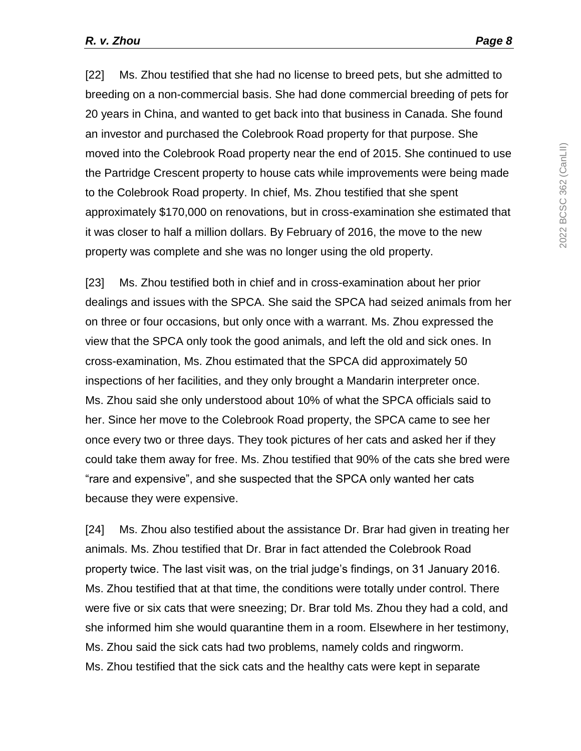[22] Ms. Zhou testified that she had no license to breed pets, but she admitted to breeding on a non-commercial basis. She had done commercial breeding of pets for 20 years in China, and wanted to get back into that business in Canada. She found an investor and purchased the Colebrook Road property for that purpose. She moved into the Colebrook Road property near the end of 2015. She continued to use the Partridge Crescent property to house cats while improvements were being made to the Colebrook Road property. In chief, Ms. Zhou testified that she spent approximately \$170,000 on renovations, but in cross-examination she estimated that it was closer to half a million dollars. By February of 2016, the move to the new property was complete and she was no longer using the old property.

[23] Ms. Zhou testified both in chief and in cross-examination about her prior dealings and issues with the SPCA. She said the SPCA had seized animals from her on three or four occasions, but only once with a warrant. Ms. Zhou expressed the view that the SPCA only took the good animals, and left the old and sick ones. In cross-examination, Ms. Zhou estimated that the SPCA did approximately 50 inspections of her facilities, and they only brought a Mandarin interpreter once. Ms. Zhou said she only understood about 10% of what the SPCA officials said to her. Since her move to the Colebrook Road property, the SPCA came to see her once every two or three days. They took pictures of her cats and asked her if they could take them away for free. Ms. Zhou testified that 90% of the cats she bred were "rare and expensive", and she suspected that the SPCA only wanted her cats because they were expensive.

[24] Ms. Zhou also testified about the assistance Dr. Brar had given in treating her animals. Ms. Zhou testified that Dr. Brar in fact attended the Colebrook Road property twice. The last visit was, on the trial judge's findings, on 31 January 2016. Ms. Zhou testified that at that time, the conditions were totally under control. There were five or six cats that were sneezing; Dr. Brar told Ms. Zhou they had a cold, and she informed him she would quarantine them in a room. Elsewhere in her testimony, Ms. Zhou said the sick cats had two problems, namely colds and ringworm. Ms. Zhou testified that the sick cats and the healthy cats were kept in separate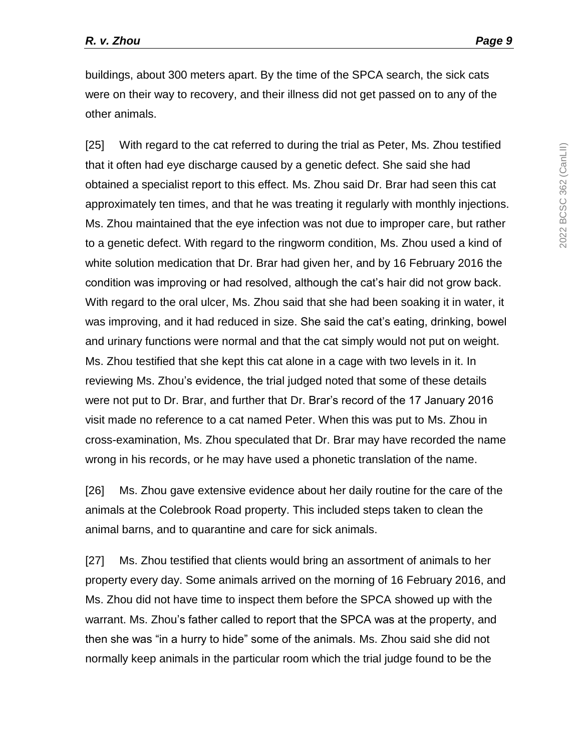buildings, about 300 meters apart. By the time of the SPCA search, the sick cats were on their way to recovery, and their illness did not get passed on to any of the other animals.

[25] With regard to the cat referred to during the trial as Peter, Ms. Zhou testified that it often had eye discharge caused by a genetic defect. She said she had obtained a specialist report to this effect. Ms. Zhou said Dr. Brar had seen this cat approximately ten times, and that he was treating it regularly with monthly injections. Ms. Zhou maintained that the eye infection was not due to improper care, but rather to a genetic defect. With regard to the ringworm condition, Ms. Zhou used a kind of white solution medication that Dr. Brar had given her, and by 16 February 2016 the condition was improving or had resolved, although the cat's hair did not grow back. With regard to the oral ulcer, Ms. Zhou said that she had been soaking it in water, it was improving, and it had reduced in size. She said the cat's eating, drinking, bowel and urinary functions were normal and that the cat simply would not put on weight. Ms. Zhou testified that she kept this cat alone in a cage with two levels in it. In reviewing Ms. Zhou's evidence, the trial judged noted that some of these details were not put to Dr. Brar, and further that Dr. Brar's record of the 17 January 2016 visit made no reference to a cat named Peter. When this was put to Ms. Zhou in cross-examination, Ms. Zhou speculated that Dr. Brar may have recorded the name wrong in his records, or he may have used a phonetic translation of the name.

[26] Ms. Zhou gave extensive evidence about her daily routine for the care of the animals at the Colebrook Road property. This included steps taken to clean the animal barns, and to quarantine and care for sick animals.

[27] Ms. Zhou testified that clients would bring an assortment of animals to her property every day. Some animals arrived on the morning of 16 February 2016, and Ms. Zhou did not have time to inspect them before the SPCA showed up with the warrant. Ms. Zhou's father called to report that the SPCA was at the property, and then she was "in a hurry to hide" some of the animals. Ms. Zhou said she did not normally keep animals in the particular room which the trial judge found to be the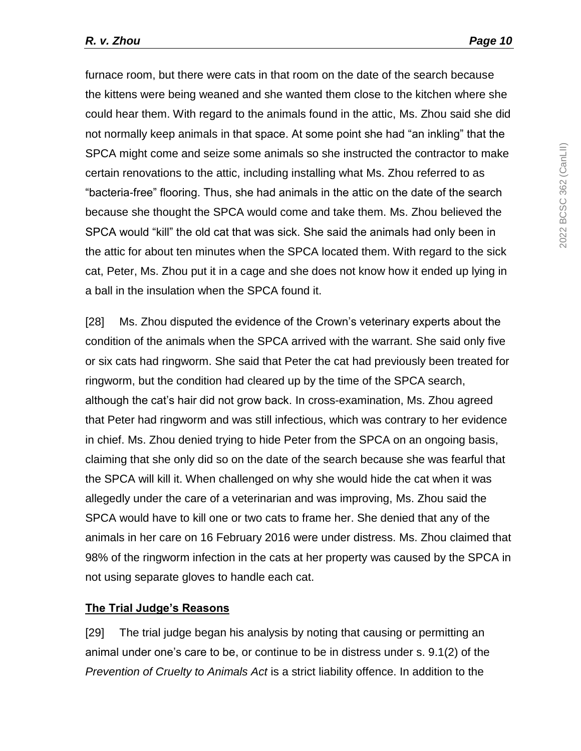furnace room, but there were cats in that room on the date of the search because the kittens were being weaned and she wanted them close to the kitchen where she could hear them. With regard to the animals found in the attic, Ms. Zhou said she did not normally keep animals in that space. At some point she had "an inkling" that the SPCA might come and seize some animals so she instructed the contractor to make certain renovations to the attic, including installing what Ms. Zhou referred to as "bacteria-free" flooring. Thus, she had animals in the attic on the date of the search because she thought the SPCA would come and take them. Ms. Zhou believed the SPCA would "kill" the old cat that was sick. She said the animals had only been in the attic for about ten minutes when the SPCA located them. With regard to the sick cat, Peter, Ms. Zhou put it in a cage and she does not know how it ended up lying in a ball in the insulation when the SPCA found it.

[28] Ms. Zhou disputed the evidence of the Crown's veterinary experts about the condition of the animals when the SPCA arrived with the warrant. She said only five or six cats had ringworm. She said that Peter the cat had previously been treated for ringworm, but the condition had cleared up by the time of the SPCA search, although the cat's hair did not grow back. In cross-examination, Ms. Zhou agreed that Peter had ringworm and was still infectious, which was contrary to her evidence in chief. Ms. Zhou denied trying to hide Peter from the SPCA on an ongoing basis, claiming that she only did so on the date of the search because she was fearful that the SPCA will kill it. When challenged on why she would hide the cat when it was allegedly under the care of a veterinarian and was improving, Ms. Zhou said the SPCA would have to kill one or two cats to frame her. She denied that any of the animals in her care on 16 February 2016 were under distress. Ms. Zhou claimed that 98% of the ringworm infection in the cats at her property was caused by the SPCA in not using separate gloves to handle each cat.

# **The Trial Judge's Reasons**

[29] The trial judge began his analysis by noting that causing or permitting an animal under one's care to be, or continue to be in distress under s. 9.1(2) of the *Prevention of Cruelty to Animals Act* is a strict liability offence. In addition to the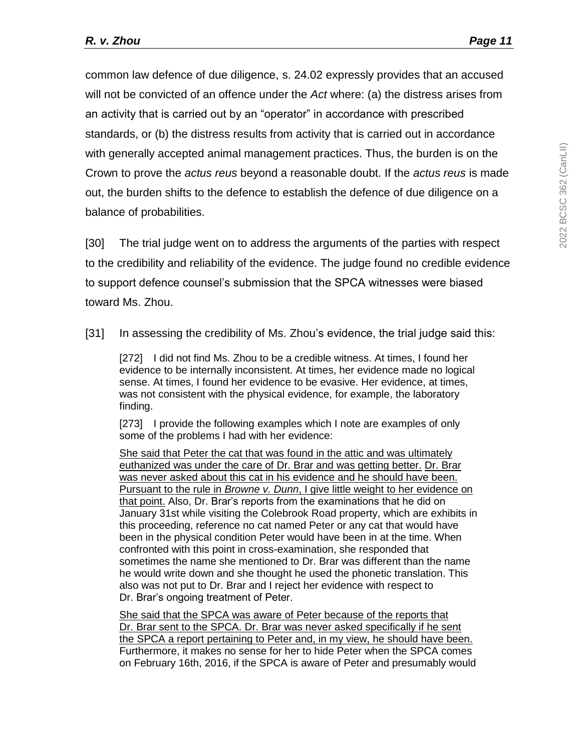common law defence of due diligence, s. 24.02 expressly provides that an accused will not be convicted of an offence under the *Act* where: (a) the distress arises from an activity that is carried out by an "operator" in accordance with prescribed standards, or (b) the distress results from activity that is carried out in accordance with generally accepted animal management practices. Thus, the burden is on the Crown to prove the *actus reus* beyond a reasonable doubt. If the *actus reus* is made out, the burden shifts to the defence to establish the defence of due diligence on a balance of probabilities.

[30] The trial judge went on to address the arguments of the parties with respect to the credibility and reliability of the evidence. The judge found no credible evidence to support defence counsel's submission that the SPCA witnesses were biased toward Ms. Zhou.

[31] In assessing the credibility of Ms. Zhou's evidence, the trial judge said this:

[272] I did not find Ms. Zhou to be a credible witness. At times, I found her evidence to be internally inconsistent. At times, her evidence made no logical sense. At times, I found her evidence to be evasive. Her evidence, at times, was not consistent with the physical evidence, for example, the laboratory finding.

[273] I provide the following examples which I note are examples of only some of the problems I had with her evidence:

She said that Peter the cat that was found in the attic and was ultimately euthanized was under the care of Dr. Brar and was getting better. Dr. Brar was never asked about this cat in his evidence and he should have been. Pursuant to the rule in *Browne v. Dunn*, I give little weight to her evidence on that point. Also, Dr. Brar's reports from the examinations that he did on January 31st while visiting the Colebrook Road property, which are exhibits in this proceeding, reference no cat named Peter or any cat that would have been in the physical condition Peter would have been in at the time. When confronted with this point in cross-examination, she responded that sometimes the name she mentioned to Dr. Brar was different than the name he would write down and she thought he used the phonetic translation. This also was not put to Dr. Brar and I reject her evidence with respect to Dr. Brar's ongoing treatment of Peter.

She said that the SPCA was aware of Peter because of the reports that Dr. Brar sent to the SPCA. Dr. Brar was never asked specifically if he sent the SPCA a report pertaining to Peter and, in my view, he should have been. Furthermore, it makes no sense for her to hide Peter when the SPCA comes on February 16th, 2016, if the SPCA is aware of Peter and presumably would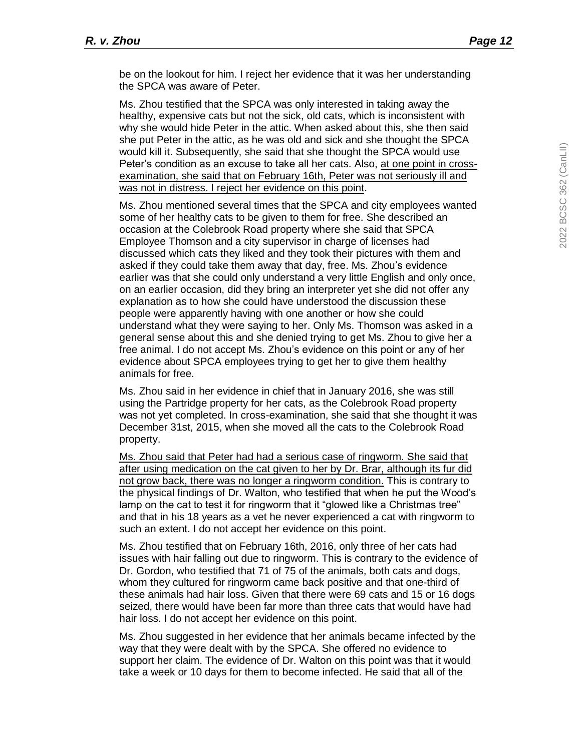be on the lookout for him. I reject her evidence that it was her understanding the SPCA was aware of Peter.

Ms. Zhou testified that the SPCA was only interested in taking away the healthy, expensive cats but not the sick, old cats, which is inconsistent with why she would hide Peter in the attic. When asked about this, she then said she put Peter in the attic, as he was old and sick and she thought the SPCA would kill it. Subsequently, she said that she thought the SPCA would use Peter's condition as an excuse to take all her cats. Also, at one point in crossexamination, she said that on February 16th, Peter was not seriously ill and was not in distress. I reject her evidence on this point.

Ms. Zhou mentioned several times that the SPCA and city employees wanted some of her healthy cats to be given to them for free. She described an occasion at the Colebrook Road property where she said that SPCA Employee Thomson and a city supervisor in charge of licenses had discussed which cats they liked and they took their pictures with them and asked if they could take them away that day, free. Ms. Zhou's evidence earlier was that she could only understand a very little English and only once, on an earlier occasion, did they bring an interpreter yet she did not offer any explanation as to how she could have understood the discussion these people were apparently having with one another or how she could understand what they were saying to her. Only Ms. Thomson was asked in a general sense about this and she denied trying to get Ms. Zhou to give her a free animal. I do not accept Ms. Zhou's evidence on this point or any of her evidence about SPCA employees trying to get her to give them healthy animals for free.

Ms. Zhou said in her evidence in chief that in January 2016, she was still using the Partridge property for her cats, as the Colebrook Road property was not yet completed. In cross-examination, she said that she thought it was December 31st, 2015, when she moved all the cats to the Colebrook Road property.

Ms. Zhou said that Peter had had a serious case of ringworm. She said that after using medication on the cat given to her by Dr. Brar, although its fur did not grow back, there was no longer a ringworm condition. This is contrary to the physical findings of Dr. Walton, who testified that when he put the Wood's lamp on the cat to test it for ringworm that it "glowed like a Christmas tree" and that in his 18 years as a vet he never experienced a cat with ringworm to such an extent. I do not accept her evidence on this point.

Ms. Zhou testified that on February 16th, 2016, only three of her cats had issues with hair falling out due to ringworm. This is contrary to the evidence of Dr. Gordon, who testified that 71 of 75 of the animals, both cats and dogs, whom they cultured for ringworm came back positive and that one-third of these animals had hair loss. Given that there were 69 cats and 15 or 16 dogs seized, there would have been far more than three cats that would have had hair loss. I do not accept her evidence on this point.

Ms. Zhou suggested in her evidence that her animals became infected by the way that they were dealt with by the SPCA. She offered no evidence to support her claim. The evidence of Dr. Walton on this point was that it would take a week or 10 days for them to become infected. He said that all of the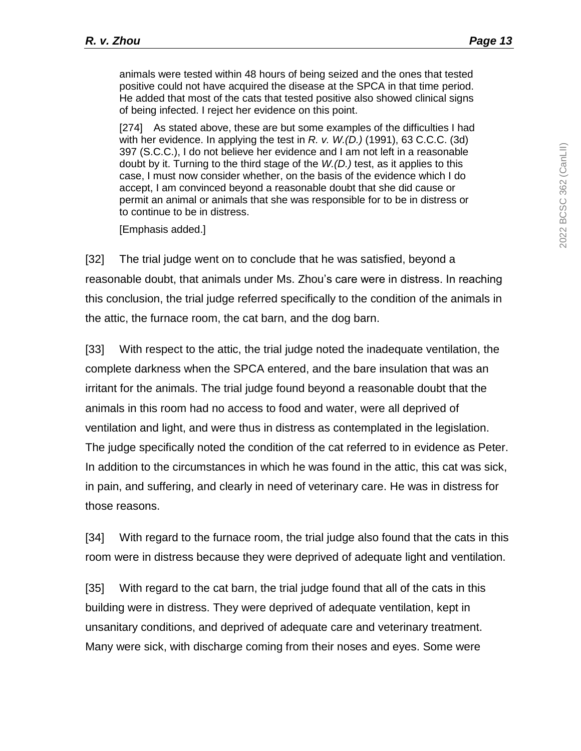animals were tested within 48 hours of being seized and the ones that tested positive could not have acquired the disease at the SPCA in that time period. He added that most of the cats that tested positive also showed clinical signs of being infected. I reject her evidence on this point.

[274] As stated above, these are but some examples of the difficulties I had with her evidence. In applying the test in *R. v. W.(D.)* (1991), 63 C.C.C. (3d) 397 (S.C.C.), I do not believe her evidence and I am not left in a reasonable doubt by it. Turning to the third stage of the *W.(D.)* test, as it applies to this case, I must now consider whether, on the basis of the evidence which I do accept, I am convinced beyond a reasonable doubt that she did cause or permit an animal or animals that she was responsible for to be in distress or to continue to be in distress.

[Emphasis added.]

[32] The trial judge went on to conclude that he was satisfied, beyond a reasonable doubt, that animals under Ms. Zhou's care were in distress. In reaching this conclusion, the trial judge referred specifically to the condition of the animals in the attic, the furnace room, the cat barn, and the dog barn.

[33] With respect to the attic, the trial judge noted the inadequate ventilation, the complete darkness when the SPCA entered, and the bare insulation that was an irritant for the animals. The trial judge found beyond a reasonable doubt that the animals in this room had no access to food and water, were all deprived of ventilation and light, and were thus in distress as contemplated in the legislation. The judge specifically noted the condition of the cat referred to in evidence as Peter. In addition to the circumstances in which he was found in the attic, this cat was sick, in pain, and suffering, and clearly in need of veterinary care. He was in distress for those reasons.

[34] With regard to the furnace room, the trial judge also found that the cats in this room were in distress because they were deprived of adequate light and ventilation.

[35] With regard to the cat barn, the trial judge found that all of the cats in this building were in distress. They were deprived of adequate ventilation, kept in unsanitary conditions, and deprived of adequate care and veterinary treatment. Many were sick, with discharge coming from their noses and eyes. Some were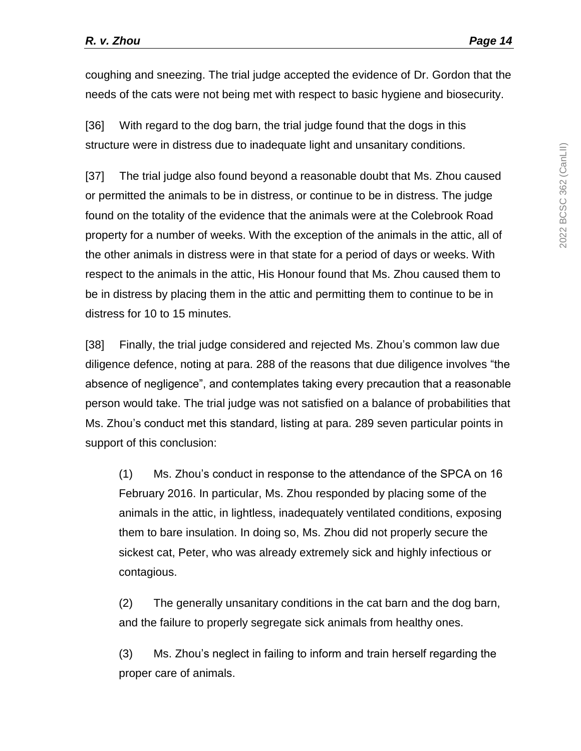coughing and sneezing. The trial judge accepted the evidence of Dr. Gordon that the needs of the cats were not being met with respect to basic hygiene and biosecurity.

[36] With regard to the dog barn, the trial judge found that the dogs in this structure were in distress due to inadequate light and unsanitary conditions.

[37] The trial judge also found beyond a reasonable doubt that Ms. Zhou caused or permitted the animals to be in distress, or continue to be in distress. The judge found on the totality of the evidence that the animals were at the Colebrook Road property for a number of weeks. With the exception of the animals in the attic, all of the other animals in distress were in that state for a period of days or weeks. With respect to the animals in the attic, His Honour found that Ms. Zhou caused them to be in distress by placing them in the attic and permitting them to continue to be in distress for 10 to 15 minutes.

[38] Finally, the trial judge considered and rejected Ms. Zhou's common law due diligence defence, noting at para. 288 of the reasons that due diligence involves "the absence of negligence", and contemplates taking every precaution that a reasonable person would take. The trial judge was not satisfied on a balance of probabilities that Ms. Zhou's conduct met this standard, listing at para. 289 seven particular points in support of this conclusion:

(1) Ms. Zhou's conduct in response to the attendance of the SPCA on 16 February 2016. In particular, Ms. Zhou responded by placing some of the animals in the attic, in lightless, inadequately ventilated conditions, exposing them to bare insulation. In doing so, Ms. Zhou did not properly secure the sickest cat, Peter, who was already extremely sick and highly infectious or contagious.

(2) The generally unsanitary conditions in the cat barn and the dog barn, and the failure to properly segregate sick animals from healthy ones.

(3) Ms. Zhou's neglect in failing to inform and train herself regarding the proper care of animals.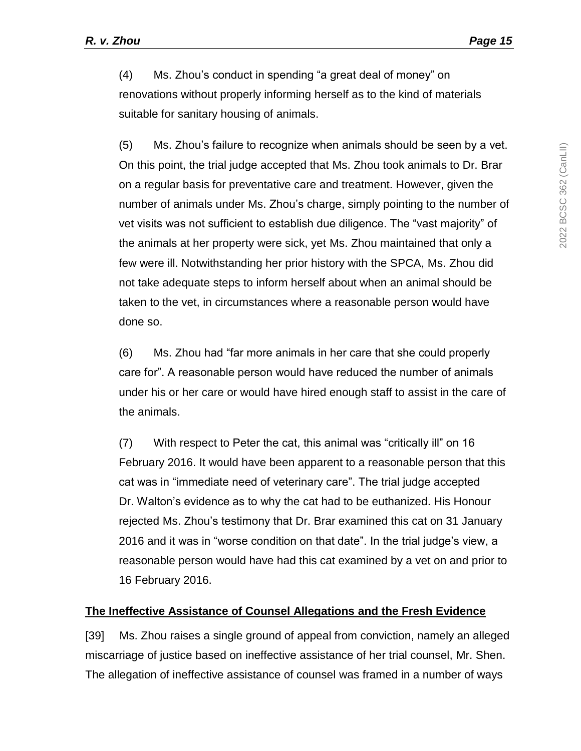(4) Ms. Zhou's conduct in spending "a great deal of money" on renovations without properly informing herself as to the kind of materials suitable for sanitary housing of animals.

(5) Ms. Zhou's failure to recognize when animals should be seen by a vet. On this point, the trial judge accepted that Ms. Zhou took animals to Dr. Brar on a regular basis for preventative care and treatment. However, given the number of animals under Ms. Zhou's charge, simply pointing to the number of vet visits was not sufficient to establish due diligence. The "vast majority" of the animals at her property were sick, yet Ms. Zhou maintained that only a few were ill. Notwithstanding her prior history with the SPCA, Ms. Zhou did not take adequate steps to inform herself about when an animal should be taken to the vet, in circumstances where a reasonable person would have done so.

(6) Ms. Zhou had "far more animals in her care that she could properly care for". A reasonable person would have reduced the number of animals under his or her care or would have hired enough staff to assist in the care of the animals.

(7) With respect to Peter the cat, this animal was "critically ill" on 16 February 2016. It would have been apparent to a reasonable person that this cat was in "immediate need of veterinary care". The trial judge accepted Dr. Walton's evidence as to why the cat had to be euthanized. His Honour rejected Ms. Zhou's testimony that Dr. Brar examined this cat on 31 January 2016 and it was in "worse condition on that date". In the trial judge's view, a reasonable person would have had this cat examined by a vet on and prior to 16 February 2016.

#### **The Ineffective Assistance of Counsel Allegations and the Fresh Evidence**

[39] Ms. Zhou raises a single ground of appeal from conviction, namely an alleged miscarriage of justice based on ineffective assistance of her trial counsel, Mr. Shen. The allegation of ineffective assistance of counsel was framed in a number of ways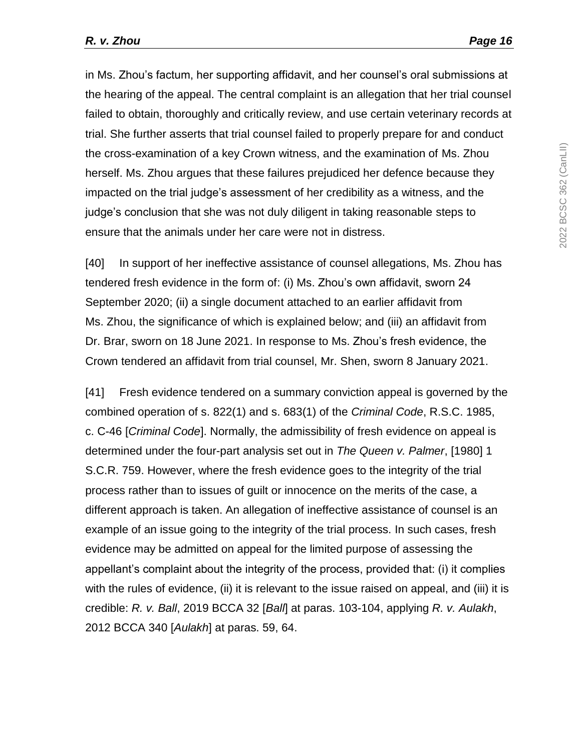in Ms. Zhou's factum, her supporting affidavit, and her counsel's oral submissions at the hearing of the appeal. The central complaint is an allegation that her trial counsel failed to obtain, thoroughly and critically review, and use certain veterinary records at trial. She further asserts that trial counsel failed to properly prepare for and conduct the cross-examination of a key Crown witness, and the examination of Ms. Zhou herself. Ms. Zhou argues that these failures prejudiced her defence because they impacted on the trial judge's assessment of her credibility as a witness, and the judge's conclusion that she was not duly diligent in taking reasonable steps to ensure that the animals under her care were not in distress.

[40] In support of her ineffective assistance of counsel allegations, Ms. Zhou has tendered fresh evidence in the form of: (i) Ms. Zhou's own affidavit, sworn 24 September 2020; (ii) a single document attached to an earlier affidavit from Ms. Zhou, the significance of which is explained below; and (iii) an affidavit from Dr. Brar, sworn on 18 June 2021. In response to Ms. Zhou's fresh evidence, the Crown tendered an affidavit from trial counsel, Mr. Shen, sworn 8 January 2021.

[41] Fresh evidence tendered on a summary conviction appeal is governed by the combined operation of s. 822(1) and s. 683(1) of the *Criminal Code*, R.S.C. 1985, c. C-46 [*Criminal Code*]. Normally, the admissibility of fresh evidence on appeal is determined under the four-part analysis set out in *The Queen v. Palmer*, [1980] 1 S.C.R. 759. However, where the fresh evidence goes to the integrity of the trial process rather than to issues of guilt or innocence on the merits of the case, a different approach is taken. An allegation of ineffective assistance of counsel is an example of an issue going to the integrity of the trial process. In such cases, fresh evidence may be admitted on appeal for the limited purpose of assessing the appellant's complaint about the integrity of the process, provided that: (i) it complies with the rules of evidence, (ii) it is relevant to the issue raised on appeal, and (iii) it is credible: *R. v. Ball*, 2019 BCCA 32 [*Ball*] at paras. 103-104, applying *R. v. Aulakh*, 2012 BCCA 340 [*Aulakh*] at paras. 59, 64.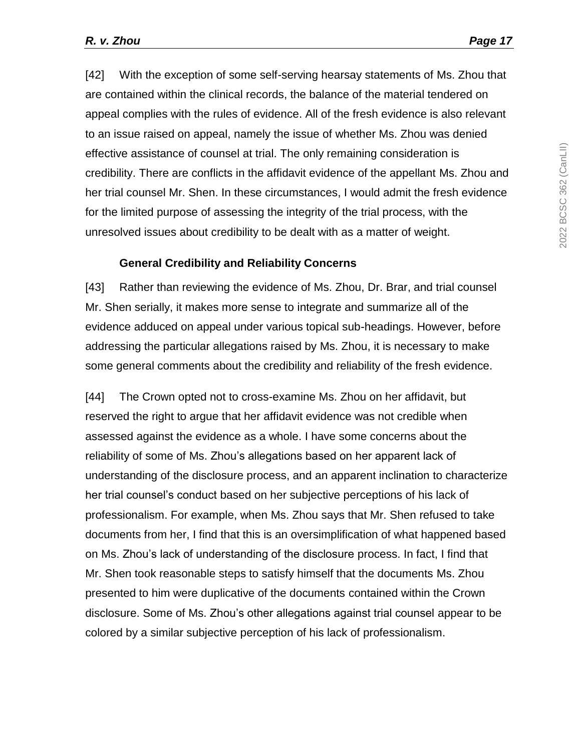[42] With the exception of some self-serving hearsay statements of Ms. Zhou that are contained within the clinical records, the balance of the material tendered on appeal complies with the rules of evidence. All of the fresh evidence is also relevant to an issue raised on appeal, namely the issue of whether Ms. Zhou was denied effective assistance of counsel at trial. The only remaining consideration is credibility. There are conflicts in the affidavit evidence of the appellant Ms. Zhou and her trial counsel Mr. Shen. In these circumstances, I would admit the fresh evidence for the limited purpose of assessing the integrity of the trial process, with the unresolved issues about credibility to be dealt with as a matter of weight.

#### **General Credibility and Reliability Concerns**

[43] Rather than reviewing the evidence of Ms. Zhou, Dr. Brar, and trial counsel Mr. Shen serially, it makes more sense to integrate and summarize all of the evidence adduced on appeal under various topical sub-headings. However, before addressing the particular allegations raised by Ms. Zhou, it is necessary to make some general comments about the credibility and reliability of the fresh evidence.

[44] The Crown opted not to cross-examine Ms. Zhou on her affidavit, but reserved the right to argue that her affidavit evidence was not credible when assessed against the evidence as a whole. I have some concerns about the reliability of some of Ms. Zhou's allegations based on her apparent lack of understanding of the disclosure process, and an apparent inclination to characterize her trial counsel's conduct based on her subjective perceptions of his lack of professionalism. For example, when Ms. Zhou says that Mr. Shen refused to take documents from her, I find that this is an oversimplification of what happened based on Ms. Zhou's lack of understanding of the disclosure process. In fact, I find that Mr. Shen took reasonable steps to satisfy himself that the documents Ms. Zhou presented to him were duplicative of the documents contained within the Crown disclosure. Some of Ms. Zhou's other allegations against trial counsel appear to be colored by a similar subjective perception of his lack of professionalism.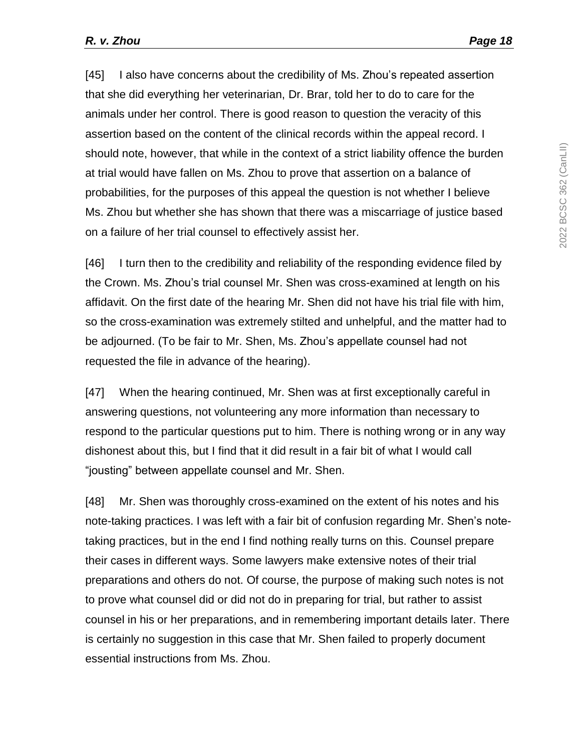[45] I also have concerns about the credibility of Ms. Zhou's repeated assertion that she did everything her veterinarian, Dr. Brar, told her to do to care for the animals under her control. There is good reason to question the veracity of this assertion based on the content of the clinical records within the appeal record. I should note, however, that while in the context of a strict liability offence the burden at trial would have fallen on Ms. Zhou to prove that assertion on a balance of probabilities, for the purposes of this appeal the question is not whether I believe Ms. Zhou but whether she has shown that there was a miscarriage of justice based on a failure of her trial counsel to effectively assist her.

[46] I turn then to the credibility and reliability of the responding evidence filed by the Crown. Ms. Zhou's trial counsel Mr. Shen was cross-examined at length on his affidavit. On the first date of the hearing Mr. Shen did not have his trial file with him, so the cross-examination was extremely stilted and unhelpful, and the matter had to be adjourned. (To be fair to Mr. Shen, Ms. Zhou's appellate counsel had not requested the file in advance of the hearing).

[47] When the hearing continued, Mr. Shen was at first exceptionally careful in answering questions, not volunteering any more information than necessary to respond to the particular questions put to him. There is nothing wrong or in any way dishonest about this, but I find that it did result in a fair bit of what I would call "jousting" between appellate counsel and Mr. Shen.

[48] Mr. Shen was thoroughly cross-examined on the extent of his notes and his note-taking practices. I was left with a fair bit of confusion regarding Mr. Shen's notetaking practices, but in the end I find nothing really turns on this. Counsel prepare their cases in different ways. Some lawyers make extensive notes of their trial preparations and others do not. Of course, the purpose of making such notes is not to prove what counsel did or did not do in preparing for trial, but rather to assist counsel in his or her preparations, and in remembering important details later. There is certainly no suggestion in this case that Mr. Shen failed to properly document essential instructions from Ms. Zhou.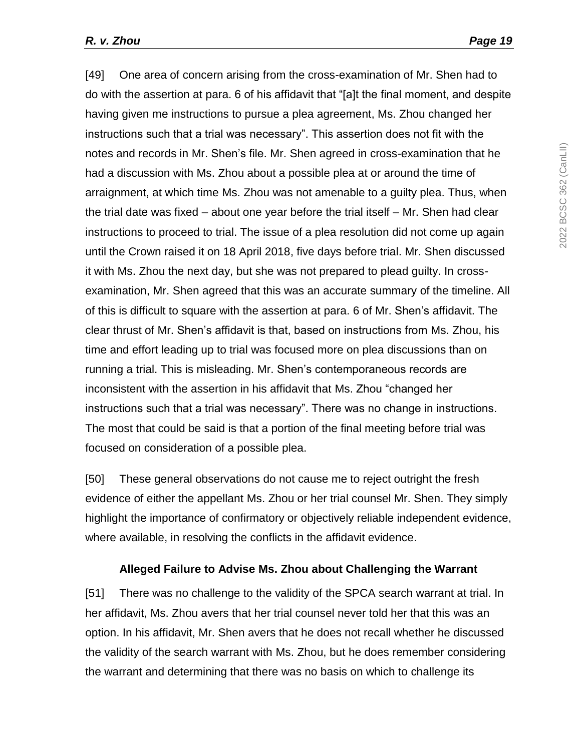[49] One area of concern arising from the cross-examination of Mr. Shen had to do with the assertion at para. 6 of his affidavit that "[a]t the final moment, and despite having given me instructions to pursue a plea agreement, Ms. Zhou changed her instructions such that a trial was necessary". This assertion does not fit with the notes and records in Mr. Shen's file. Mr. Shen agreed in cross-examination that he had a discussion with Ms. Zhou about a possible plea at or around the time of arraignment, at which time Ms. Zhou was not amenable to a guilty plea. Thus, when the trial date was fixed – about one year before the trial itself – Mr. Shen had clear instructions to proceed to trial. The issue of a plea resolution did not come up again until the Crown raised it on 18 April 2018, five days before trial. Mr. Shen discussed it with Ms. Zhou the next day, but she was not prepared to plead guilty. In crossexamination, Mr. Shen agreed that this was an accurate summary of the timeline. All of this is difficult to square with the assertion at para. 6 of Mr. Shen's affidavit. The clear thrust of Mr. Shen's affidavit is that, based on instructions from Ms. Zhou, his time and effort leading up to trial was focused more on plea discussions than on running a trial. This is misleading. Mr. Shen's contemporaneous records are inconsistent with the assertion in his affidavit that Ms. Zhou "changed her instructions such that a trial was necessary". There was no change in instructions. The most that could be said is that a portion of the final meeting before trial was focused on consideration of a possible plea.

[50] These general observations do not cause me to reject outright the fresh evidence of either the appellant Ms. Zhou or her trial counsel Mr. Shen. They simply highlight the importance of confirmatory or objectively reliable independent evidence, where available, in resolving the conflicts in the affidavit evidence.

#### **Alleged Failure to Advise Ms. Zhou about Challenging the Warrant**

[51] There was no challenge to the validity of the SPCA search warrant at trial. In her affidavit, Ms. Zhou avers that her trial counsel never told her that this was an option. In his affidavit, Mr. Shen avers that he does not recall whether he discussed the validity of the search warrant with Ms. Zhou, but he does remember considering the warrant and determining that there was no basis on which to challenge its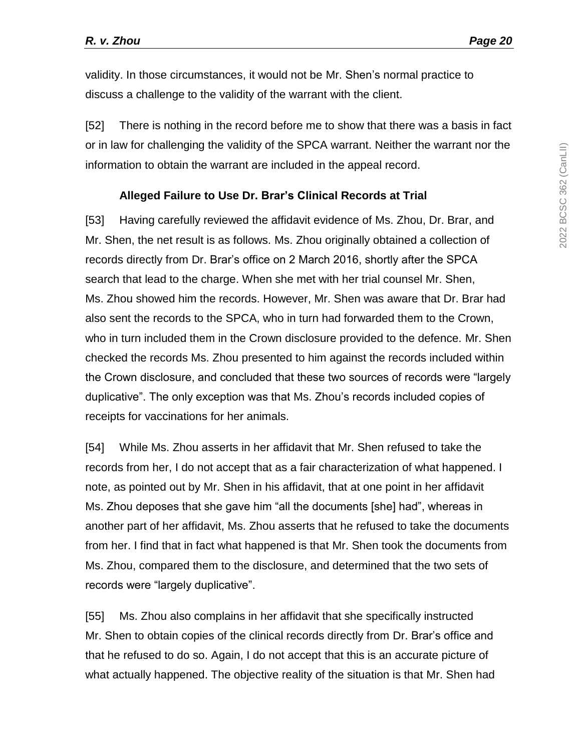validity. In those circumstances, it would not be Mr. Shen's normal practice to discuss a challenge to the validity of the warrant with the client.

[52] There is nothing in the record before me to show that there was a basis in fact or in law for challenging the validity of the SPCA warrant. Neither the warrant nor the information to obtain the warrant are included in the appeal record.

#### **Alleged Failure to Use Dr. Brar's Clinical Records at Trial**

[53] Having carefully reviewed the affidavit evidence of Ms. Zhou, Dr. Brar, and Mr. Shen, the net result is as follows. Ms. Zhou originally obtained a collection of records directly from Dr. Brar's office on 2 March 2016, shortly after the SPCA search that lead to the charge. When she met with her trial counsel Mr. Shen, Ms. Zhou showed him the records. However, Mr. Shen was aware that Dr. Brar had also sent the records to the SPCA, who in turn had forwarded them to the Crown, who in turn included them in the Crown disclosure provided to the defence. Mr. Shen checked the records Ms. Zhou presented to him against the records included within the Crown disclosure, and concluded that these two sources of records were "largely duplicative". The only exception was that Ms. Zhou's records included copies of receipts for vaccinations for her animals.

[54] While Ms. Zhou asserts in her affidavit that Mr. Shen refused to take the records from her, I do not accept that as a fair characterization of what happened. I note, as pointed out by Mr. Shen in his affidavit, that at one point in her affidavit Ms. Zhou deposes that she gave him "all the documents [she] had", whereas in another part of her affidavit, Ms. Zhou asserts that he refused to take the documents from her. I find that in fact what happened is that Mr. Shen took the documents from Ms. Zhou, compared them to the disclosure, and determined that the two sets of records were "largely duplicative".

[55] Ms. Zhou also complains in her affidavit that she specifically instructed Mr. Shen to obtain copies of the clinical records directly from Dr. Brar's office and that he refused to do so. Again, I do not accept that this is an accurate picture of what actually happened. The objective reality of the situation is that Mr. Shen had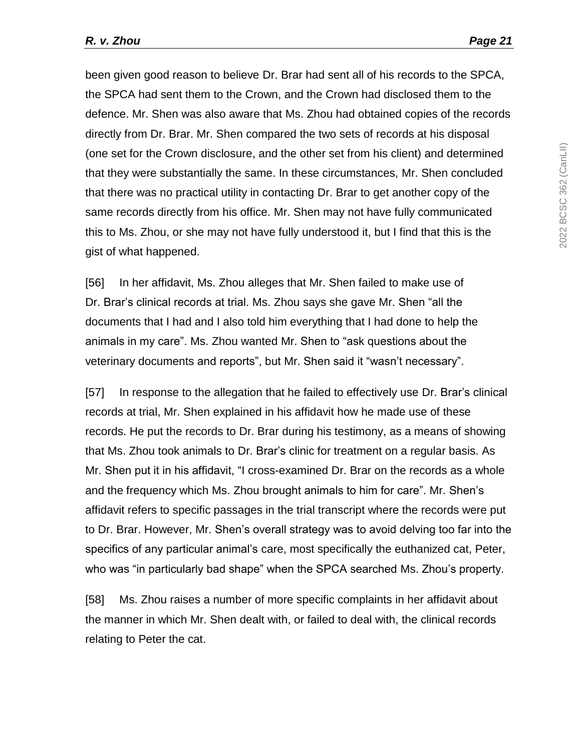been given good reason to believe Dr. Brar had sent all of his records to the SPCA, the SPCA had sent them to the Crown, and the Crown had disclosed them to the defence. Mr. Shen was also aware that Ms. Zhou had obtained copies of the records directly from Dr. Brar. Mr. Shen compared the two sets of records at his disposal (one set for the Crown disclosure, and the other set from his client) and determined that they were substantially the same. In these circumstances, Mr. Shen concluded that there was no practical utility in contacting Dr. Brar to get another copy of the same records directly from his office. Mr. Shen may not have fully communicated this to Ms. Zhou, or she may not have fully understood it, but I find that this is the gist of what happened.

[56] In her affidavit, Ms. Zhou alleges that Mr. Shen failed to make use of Dr. Brar's clinical records at trial. Ms. Zhou says she gave Mr. Shen "all the documents that I had and I also told him everything that I had done to help the animals in my care". Ms. Zhou wanted Mr. Shen to "ask questions about the veterinary documents and reports", but Mr. Shen said it "wasn't necessary".

[57] In response to the allegation that he failed to effectively use Dr. Brar's clinical records at trial, Mr. Shen explained in his affidavit how he made use of these records. He put the records to Dr. Brar during his testimony, as a means of showing that Ms. Zhou took animals to Dr. Brar's clinic for treatment on a regular basis. As Mr. Shen put it in his affidavit, "I cross-examined Dr. Brar on the records as a whole and the frequency which Ms. Zhou brought animals to him for care". Mr. Shen's affidavit refers to specific passages in the trial transcript where the records were put to Dr. Brar. However, Mr. Shen's overall strategy was to avoid delving too far into the specifics of any particular animal's care, most specifically the euthanized cat, Peter, who was "in particularly bad shape" when the SPCA searched Ms. Zhou's property.

[58] Ms. Zhou raises a number of more specific complaints in her affidavit about the manner in which Mr. Shen dealt with, or failed to deal with, the clinical records relating to Peter the cat.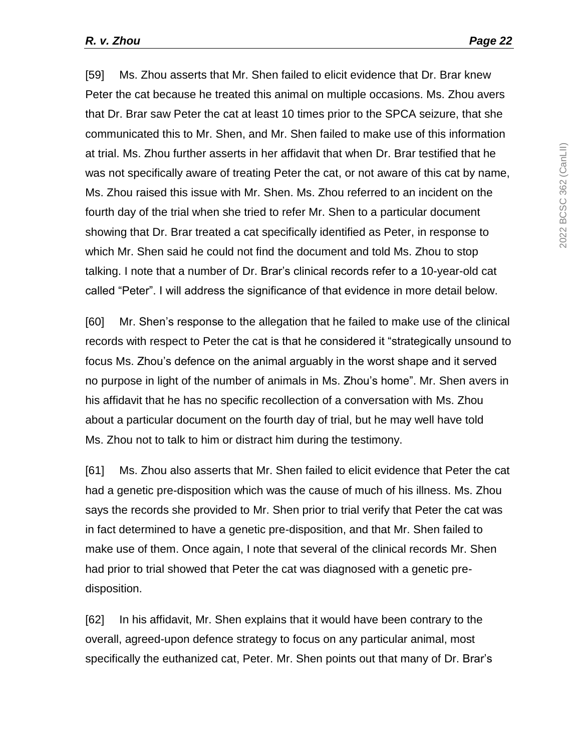[59] Ms. Zhou asserts that Mr. Shen failed to elicit evidence that Dr. Brar knew Peter the cat because he treated this animal on multiple occasions. Ms. Zhou avers that Dr. Brar saw Peter the cat at least 10 times prior to the SPCA seizure, that she communicated this to Mr. Shen, and Mr. Shen failed to make use of this information at trial. Ms. Zhou further asserts in her affidavit that when Dr. Brar testified that he was not specifically aware of treating Peter the cat, or not aware of this cat by name, Ms. Zhou raised this issue with Mr. Shen. Ms. Zhou referred to an incident on the fourth day of the trial when she tried to refer Mr. Shen to a particular document showing that Dr. Brar treated a cat specifically identified as Peter, in response to which Mr. Shen said he could not find the document and told Ms. Zhou to stop talking. I note that a number of Dr. Brar's clinical records refer to a 10-year-old cat called "Peter". I will address the significance of that evidence in more detail below.

[60] Mr. Shen's response to the allegation that he failed to make use of the clinical records with respect to Peter the cat is that he considered it "strategically unsound to focus Ms. Zhou's defence on the animal arguably in the worst shape and it served no purpose in light of the number of animals in Ms. Zhou's home". Mr. Shen avers in his affidavit that he has no specific recollection of a conversation with Ms. Zhou about a particular document on the fourth day of trial, but he may well have told Ms. Zhou not to talk to him or distract him during the testimony.

[61] Ms. Zhou also asserts that Mr. Shen failed to elicit evidence that Peter the cat had a genetic pre-disposition which was the cause of much of his illness. Ms. Zhou says the records she provided to Mr. Shen prior to trial verify that Peter the cat was in fact determined to have a genetic pre-disposition, and that Mr. Shen failed to make use of them. Once again, I note that several of the clinical records Mr. Shen had prior to trial showed that Peter the cat was diagnosed with a genetic predisposition.

[62] In his affidavit, Mr. Shen explains that it would have been contrary to the overall, agreed-upon defence strategy to focus on any particular animal, most specifically the euthanized cat, Peter. Mr. Shen points out that many of Dr. Brar's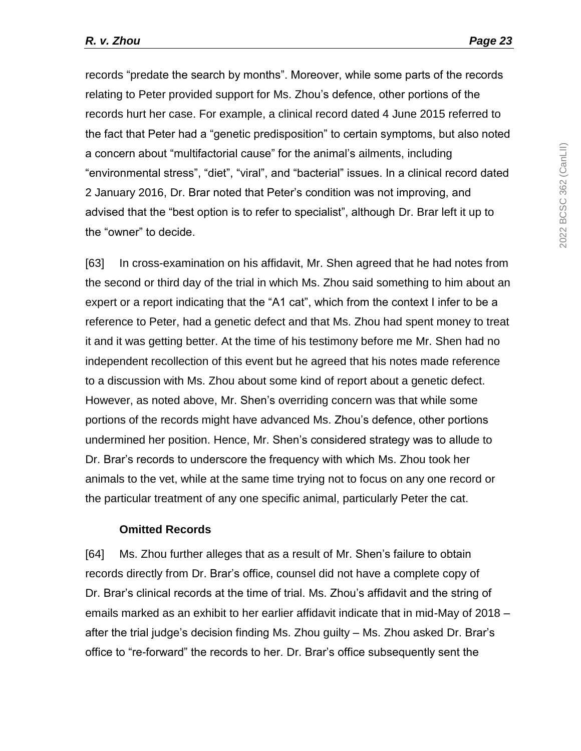records "predate the search by months". Moreover, while some parts of the records relating to Peter provided support for Ms. Zhou's defence, other portions of the records hurt her case. For example, a clinical record dated 4 June 2015 referred to the fact that Peter had a "genetic predisposition" to certain symptoms, but also noted a concern about "multifactorial cause" for the animal's ailments, including "environmental stress", "diet", "viral", and "bacterial" issues. In a clinical record dated 2 January 2016, Dr. Brar noted that Peter's condition was not improving, and advised that the "best option is to refer to specialist", although Dr. Brar left it up to the "owner" to decide.

[63] In cross-examination on his affidavit, Mr. Shen agreed that he had notes from the second or third day of the trial in which Ms. Zhou said something to him about an expert or a report indicating that the "A1 cat", which from the context I infer to be a reference to Peter, had a genetic defect and that Ms. Zhou had spent money to treat it and it was getting better. At the time of his testimony before me Mr. Shen had no independent recollection of this event but he agreed that his notes made reference to a discussion with Ms. Zhou about some kind of report about a genetic defect. However, as noted above, Mr. Shen's overriding concern was that while some portions of the records might have advanced Ms. Zhou's defence, other portions undermined her position. Hence, Mr. Shen's considered strategy was to allude to Dr. Brar's records to underscore the frequency with which Ms. Zhou took her animals to the vet, while at the same time trying not to focus on any one record or the particular treatment of any one specific animal, particularly Peter the cat.

#### **Omitted Records**

[64] Ms. Zhou further alleges that as a result of Mr. Shen's failure to obtain records directly from Dr. Brar's office, counsel did not have a complete copy of Dr. Brar's clinical records at the time of trial. Ms. Zhou's affidavit and the string of emails marked as an exhibit to her earlier affidavit indicate that in mid-May of 2018 – after the trial judge's decision finding Ms. Zhou guilty – Ms. Zhou asked Dr. Brar's office to "re-forward" the records to her. Dr. Brar's office subsequently sent the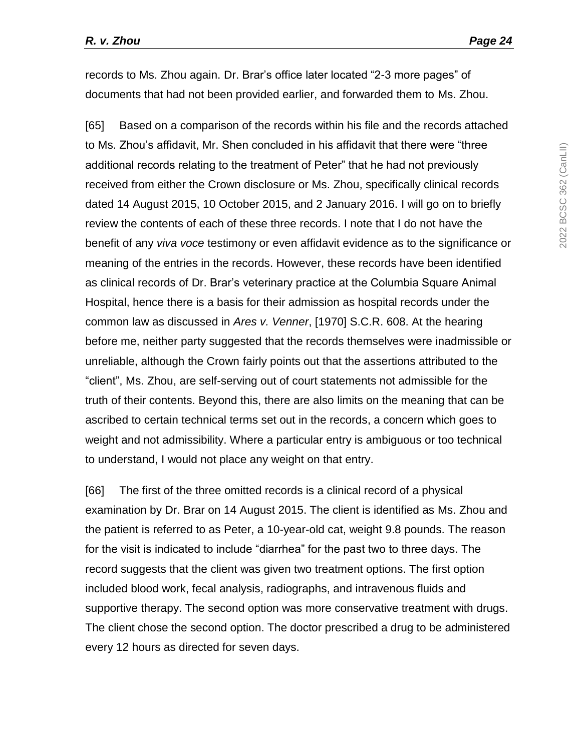records to Ms. Zhou again. Dr. Brar's office later located "2-3 more pages" of documents that had not been provided earlier, and forwarded them to Ms. Zhou.

[65] Based on a comparison of the records within his file and the records attached to Ms. Zhou's affidavit, Mr. Shen concluded in his affidavit that there were "three additional records relating to the treatment of Peter" that he had not previously received from either the Crown disclosure or Ms. Zhou, specifically clinical records dated 14 August 2015, 10 October 2015, and 2 January 2016. I will go on to briefly review the contents of each of these three records. I note that I do not have the benefit of any *viva voce* testimony or even affidavit evidence as to the significance or meaning of the entries in the records. However, these records have been identified as clinical records of Dr. Brar's veterinary practice at the Columbia Square Animal Hospital, hence there is a basis for their admission as hospital records under the common law as discussed in *Ares v. Venner*, [1970] S.C.R. 608. At the hearing before me, neither party suggested that the records themselves were inadmissible or unreliable, although the Crown fairly points out that the assertions attributed to the "client", Ms. Zhou, are self-serving out of court statements not admissible for the truth of their contents. Beyond this, there are also limits on the meaning that can be ascribed to certain technical terms set out in the records, a concern which goes to weight and not admissibility. Where a particular entry is ambiguous or too technical to understand, I would not place any weight on that entry.

[66] The first of the three omitted records is a clinical record of a physical examination by Dr. Brar on 14 August 2015. The client is identified as Ms. Zhou and the patient is referred to as Peter, a 10-year-old cat, weight 9.8 pounds. The reason for the visit is indicated to include "diarrhea" for the past two to three days. The record suggests that the client was given two treatment options. The first option included blood work, fecal analysis, radiographs, and intravenous fluids and supportive therapy. The second option was more conservative treatment with drugs. The client chose the second option. The doctor prescribed a drug to be administered every 12 hours as directed for seven days.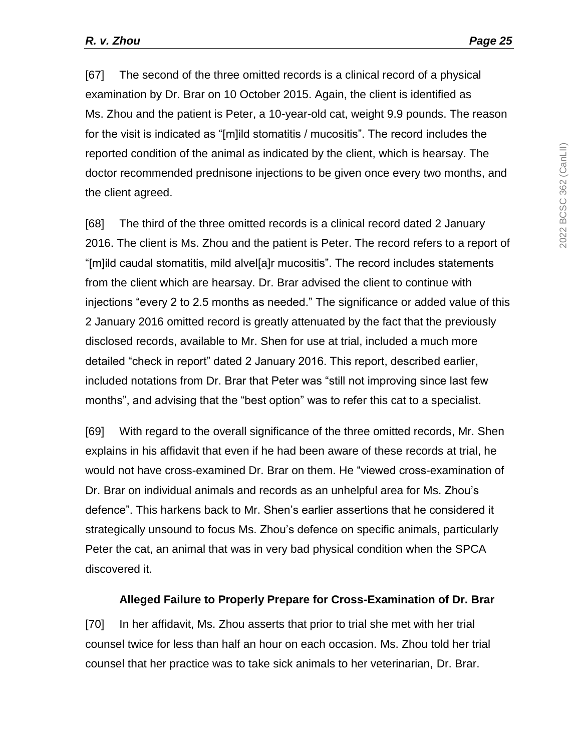[67] The second of the three omitted records is a clinical record of a physical examination by Dr. Brar on 10 October 2015. Again, the client is identified as Ms. Zhou and the patient is Peter, a 10-year-old cat, weight 9.9 pounds. The reason for the visit is indicated as "[m]ild stomatitis / mucositis". The record includes the reported condition of the animal as indicated by the client, which is hearsay. The doctor recommended prednisone injections to be given once every two months, and the client agreed.

[68] The third of the three omitted records is a clinical record dated 2 January 2016. The client is Ms. Zhou and the patient is Peter. The record refers to a report of "[m]ild caudal stomatitis, mild alvel[a]r mucositis". The record includes statements from the client which are hearsay. Dr. Brar advised the client to continue with injections "every 2 to 2.5 months as needed." The significance or added value of this 2 January 2016 omitted record is greatly attenuated by the fact that the previously disclosed records, available to Mr. Shen for use at trial, included a much more detailed "check in report" dated 2 January 2016. This report, described earlier, included notations from Dr. Brar that Peter was "still not improving since last few months", and advising that the "best option" was to refer this cat to a specialist.

[69] With regard to the overall significance of the three omitted records, Mr. Shen explains in his affidavit that even if he had been aware of these records at trial, he would not have cross-examined Dr. Brar on them. He "viewed cross-examination of Dr. Brar on individual animals and records as an unhelpful area for Ms. Zhou's defence". This harkens back to Mr. Shen's earlier assertions that he considered it strategically unsound to focus Ms. Zhou's defence on specific animals, particularly Peter the cat, an animal that was in very bad physical condition when the SPCA discovered it.

#### **Alleged Failure to Properly Prepare for Cross-Examination of Dr. Brar**

[70] In her affidavit, Ms. Zhou asserts that prior to trial she met with her trial counsel twice for less than half an hour on each occasion. Ms. Zhou told her trial counsel that her practice was to take sick animals to her veterinarian, Dr. Brar.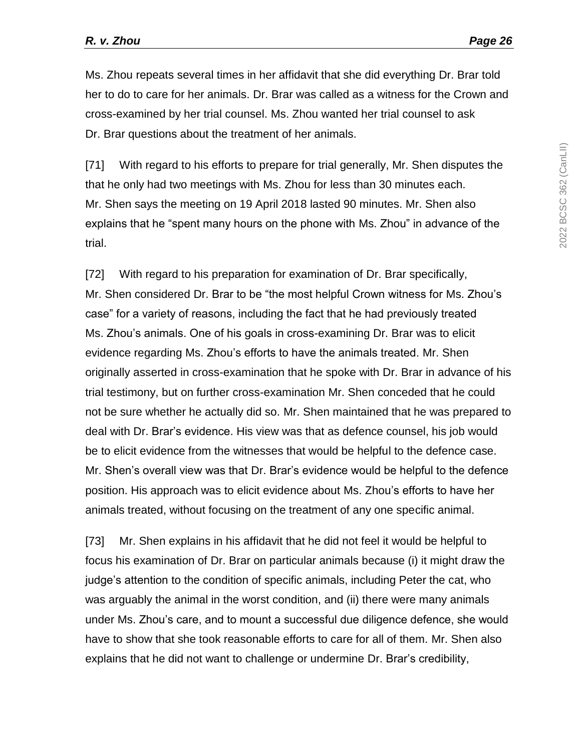Ms. Zhou repeats several times in her affidavit that she did everything Dr. Brar told her to do to care for her animals. Dr. Brar was called as a witness for the Crown and cross-examined by her trial counsel. Ms. Zhou wanted her trial counsel to ask Dr. Brar questions about the treatment of her animals.

[71] With regard to his efforts to prepare for trial generally, Mr. Shen disputes the that he only had two meetings with Ms. Zhou for less than 30 minutes each. Mr. Shen says the meeting on 19 April 2018 lasted 90 minutes. Mr. Shen also explains that he "spent many hours on the phone with Ms. Zhou" in advance of the trial.

[72] With regard to his preparation for examination of Dr. Brar specifically, Mr. Shen considered Dr. Brar to be "the most helpful Crown witness for Ms. Zhou's case" for a variety of reasons, including the fact that he had previously treated Ms. Zhou's animals. One of his goals in cross-examining Dr. Brar was to elicit evidence regarding Ms. Zhou's efforts to have the animals treated. Mr. Shen originally asserted in cross-examination that he spoke with Dr. Brar in advance of his trial testimony, but on further cross-examination Mr. Shen conceded that he could not be sure whether he actually did so. Mr. Shen maintained that he was prepared to deal with Dr. Brar's evidence. His view was that as defence counsel, his job would be to elicit evidence from the witnesses that would be helpful to the defence case. Mr. Shen's overall view was that Dr. Brar's evidence would be helpful to the defence position. His approach was to elicit evidence about Ms. Zhou's efforts to have her animals treated, without focusing on the treatment of any one specific animal.

[73] Mr. Shen explains in his affidavit that he did not feel it would be helpful to focus his examination of Dr. Brar on particular animals because (i) it might draw the judge's attention to the condition of specific animals, including Peter the cat, who was arguably the animal in the worst condition, and (ii) there were many animals under Ms. Zhou's care, and to mount a successful due diligence defence, she would have to show that she took reasonable efforts to care for all of them. Mr. Shen also explains that he did not want to challenge or undermine Dr. Brar's credibility,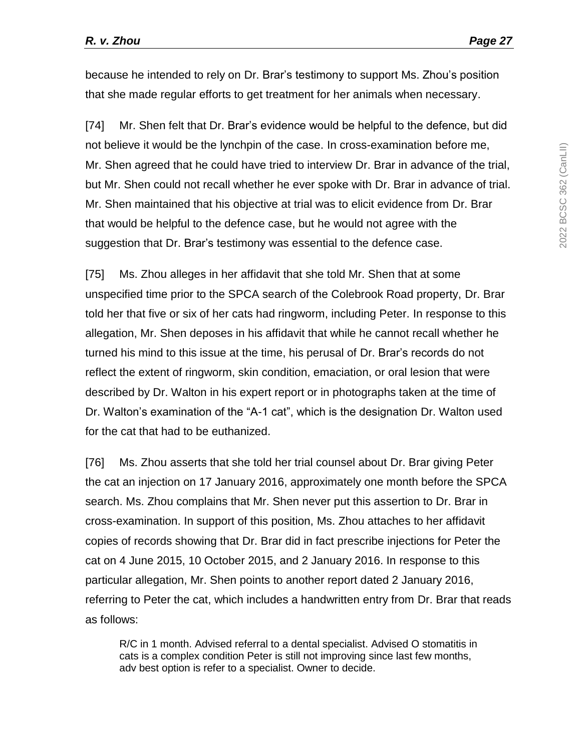because he intended to rely on Dr. Brar's testimony to support Ms. Zhou's position that she made regular efforts to get treatment for her animals when necessary.

[74] Mr. Shen felt that Dr. Brar's evidence would be helpful to the defence, but did not believe it would be the lynchpin of the case. In cross-examination before me, Mr. Shen agreed that he could have tried to interview Dr. Brar in advance of the trial, but Mr. Shen could not recall whether he ever spoke with Dr. Brar in advance of trial. Mr. Shen maintained that his objective at trial was to elicit evidence from Dr. Brar that would be helpful to the defence case, but he would not agree with the suggestion that Dr. Brar's testimony was essential to the defence case.

[75] Ms. Zhou alleges in her affidavit that she told Mr. Shen that at some unspecified time prior to the SPCA search of the Colebrook Road property, Dr. Brar told her that five or six of her cats had ringworm, including Peter. In response to this allegation, Mr. Shen deposes in his affidavit that while he cannot recall whether he turned his mind to this issue at the time, his perusal of Dr. Brar's records do not reflect the extent of ringworm, skin condition, emaciation, or oral lesion that were described by Dr. Walton in his expert report or in photographs taken at the time of Dr. Walton's examination of the "A-1 cat", which is the designation Dr. Walton used for the cat that had to be euthanized.

[76] Ms. Zhou asserts that she told her trial counsel about Dr. Brar giving Peter the cat an injection on 17 January 2016, approximately one month before the SPCA search. Ms. Zhou complains that Mr. Shen never put this assertion to Dr. Brar in cross-examination. In support of this position, Ms. Zhou attaches to her affidavit copies of records showing that Dr. Brar did in fact prescribe injections for Peter the cat on 4 June 2015, 10 October 2015, and 2 January 2016. In response to this particular allegation, Mr. Shen points to another report dated 2 January 2016, referring to Peter the cat, which includes a handwritten entry from Dr. Brar that reads as follows:

R/C in 1 month. Advised referral to a dental specialist. Advised O stomatitis in cats is a complex condition Peter is still not improving since last few months, adv best option is refer to a specialist. Owner to decide.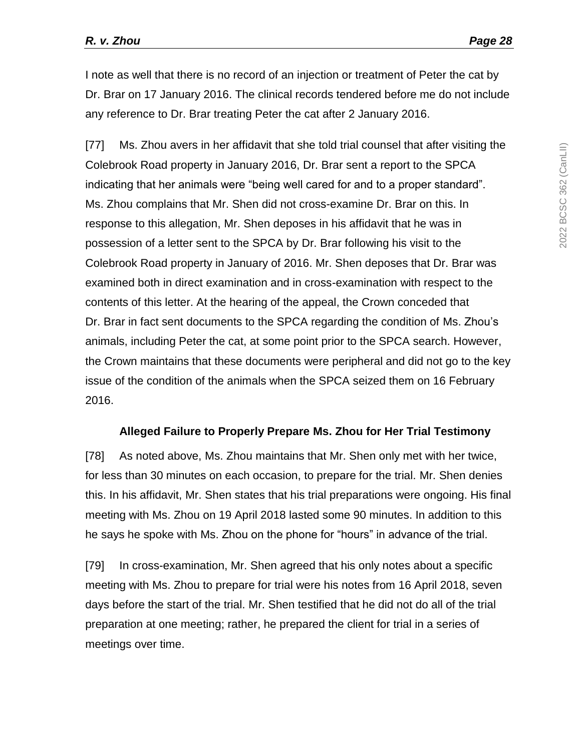I note as well that there is no record of an injection or treatment of Peter the cat by Dr. Brar on 17 January 2016. The clinical records tendered before me do not include any reference to Dr. Brar treating Peter the cat after 2 January 2016.

[77] Ms. Zhou avers in her affidavit that she told trial counsel that after visiting the Colebrook Road property in January 2016, Dr. Brar sent a report to the SPCA indicating that her animals were "being well cared for and to a proper standard". Ms. Zhou complains that Mr. Shen did not cross-examine Dr. Brar on this. In response to this allegation, Mr. Shen deposes in his affidavit that he was in possession of a letter sent to the SPCA by Dr. Brar following his visit to the Colebrook Road property in January of 2016. Mr. Shen deposes that Dr. Brar was examined both in direct examination and in cross-examination with respect to the contents of this letter. At the hearing of the appeal, the Crown conceded that Dr. Brar in fact sent documents to the SPCA regarding the condition of Ms. Zhou's animals, including Peter the cat, at some point prior to the SPCA search. However, the Crown maintains that these documents were peripheral and did not go to the key issue of the condition of the animals when the SPCA seized them on 16 February 2016.

#### **Alleged Failure to Properly Prepare Ms. Zhou for Her Trial Testimony**

[78] As noted above, Ms. Zhou maintains that Mr. Shen only met with her twice, for less than 30 minutes on each occasion, to prepare for the trial. Mr. Shen denies this. In his affidavit, Mr. Shen states that his trial preparations were ongoing. His final meeting with Ms. Zhou on 19 April 2018 lasted some 90 minutes. In addition to this he says he spoke with Ms. Zhou on the phone for "hours" in advance of the trial.

[79] In cross-examination, Mr. Shen agreed that his only notes about a specific meeting with Ms. Zhou to prepare for trial were his notes from 16 April 2018, seven days before the start of the trial. Mr. Shen testified that he did not do all of the trial preparation at one meeting; rather, he prepared the client for trial in a series of meetings over time.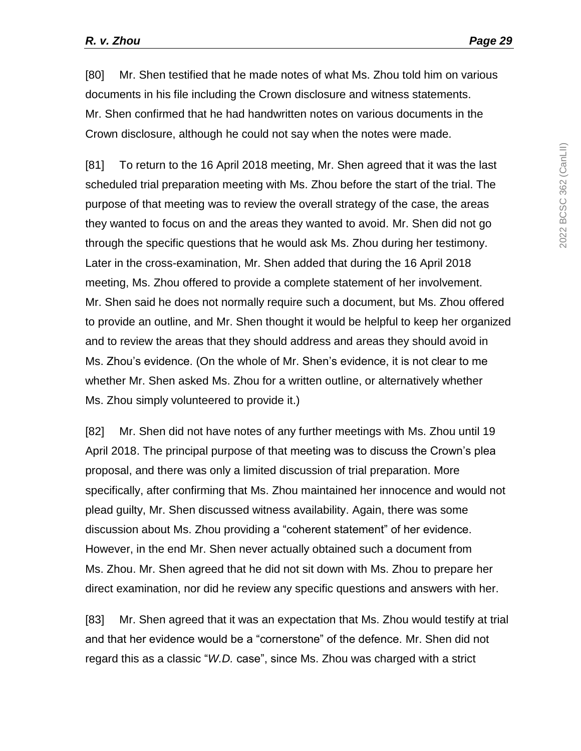[80] Mr. Shen testified that he made notes of what Ms. Zhou told him on various documents in his file including the Crown disclosure and witness statements. Mr. Shen confirmed that he had handwritten notes on various documents in the Crown disclosure, although he could not say when the notes were made.

[81] To return to the 16 April 2018 meeting, Mr. Shen agreed that it was the last scheduled trial preparation meeting with Ms. Zhou before the start of the trial. The purpose of that meeting was to review the overall strategy of the case, the areas they wanted to focus on and the areas they wanted to avoid. Mr. Shen did not go through the specific questions that he would ask Ms. Zhou during her testimony. Later in the cross-examination, Mr. Shen added that during the 16 April 2018 meeting, Ms. Zhou offered to provide a complete statement of her involvement. Mr. Shen said he does not normally require such a document, but Ms. Zhou offered to provide an outline, and Mr. Shen thought it would be helpful to keep her organized and to review the areas that they should address and areas they should avoid in Ms. Zhou's evidence. (On the whole of Mr. Shen's evidence, it is not clear to me whether Mr. Shen asked Ms. Zhou for a written outline, or alternatively whether Ms. Zhou simply volunteered to provide it.)

[82] Mr. Shen did not have notes of any further meetings with Ms. Zhou until 19 April 2018. The principal purpose of that meeting was to discuss the Crown's plea proposal, and there was only a limited discussion of trial preparation. More specifically, after confirming that Ms. Zhou maintained her innocence and would not plead guilty, Mr. Shen discussed witness availability. Again, there was some discussion about Ms. Zhou providing a "coherent statement" of her evidence. However, in the end Mr. Shen never actually obtained such a document from Ms. Zhou. Mr. Shen agreed that he did not sit down with Ms. Zhou to prepare her direct examination, nor did he review any specific questions and answers with her.

[83] Mr. Shen agreed that it was an expectation that Ms. Zhou would testify at trial and that her evidence would be a "cornerstone" of the defence. Mr. Shen did not regard this as a classic "*W.D.* case", since Ms. Zhou was charged with a strict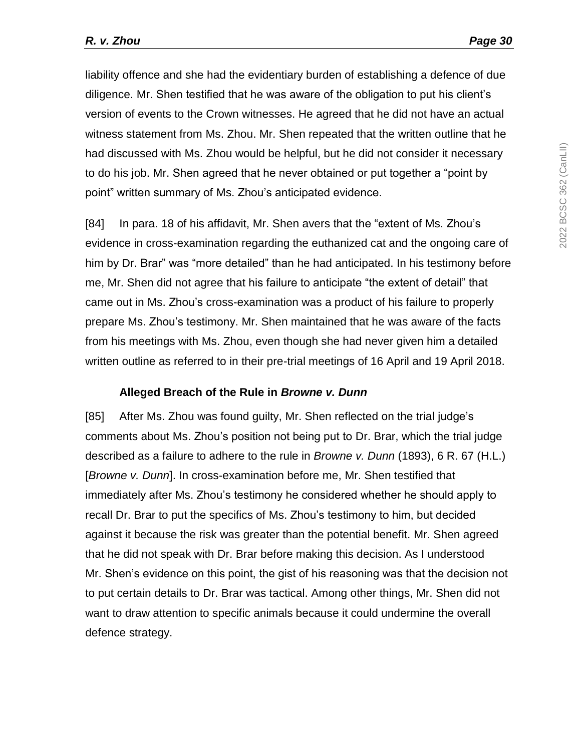liability offence and she had the evidentiary burden of establishing a defence of due diligence. Mr. Shen testified that he was aware of the obligation to put his client's version of events to the Crown witnesses. He agreed that he did not have an actual witness statement from Ms. Zhou. Mr. Shen repeated that the written outline that he had discussed with Ms. Zhou would be helpful, but he did not consider it necessary to do his job. Mr. Shen agreed that he never obtained or put together a "point by point" written summary of Ms. Zhou's anticipated evidence.

[84] In para. 18 of his affidavit, Mr. Shen avers that the "extent of Ms. Zhou's evidence in cross-examination regarding the euthanized cat and the ongoing care of him by Dr. Brar" was "more detailed" than he had anticipated. In his testimony before me, Mr. Shen did not agree that his failure to anticipate "the extent of detail" that came out in Ms. Zhou's cross-examination was a product of his failure to properly prepare Ms. Zhou's testimony. Mr. Shen maintained that he was aware of the facts from his meetings with Ms. Zhou, even though she had never given him a detailed written outline as referred to in their pre-trial meetings of 16 April and 19 April 2018.

#### **Alleged Breach of the Rule in** *Browne v. Dunn*

[85] After Ms. Zhou was found guilty, Mr. Shen reflected on the trial judge's comments about Ms. Zhou's position not being put to Dr. Brar, which the trial judge described as a failure to adhere to the rule in *Browne v. Dunn* (1893), 6 R. 67 (H.L.) [*Browne v. Dunn*]. In cross-examination before me, Mr. Shen testified that immediately after Ms. Zhou's testimony he considered whether he should apply to recall Dr. Brar to put the specifics of Ms. Zhou's testimony to him, but decided against it because the risk was greater than the potential benefit. Mr. Shen agreed that he did not speak with Dr. Brar before making this decision. As I understood Mr. Shen's evidence on this point, the gist of his reasoning was that the decision not to put certain details to Dr. Brar was tactical. Among other things, Mr. Shen did not want to draw attention to specific animals because it could undermine the overall defence strategy.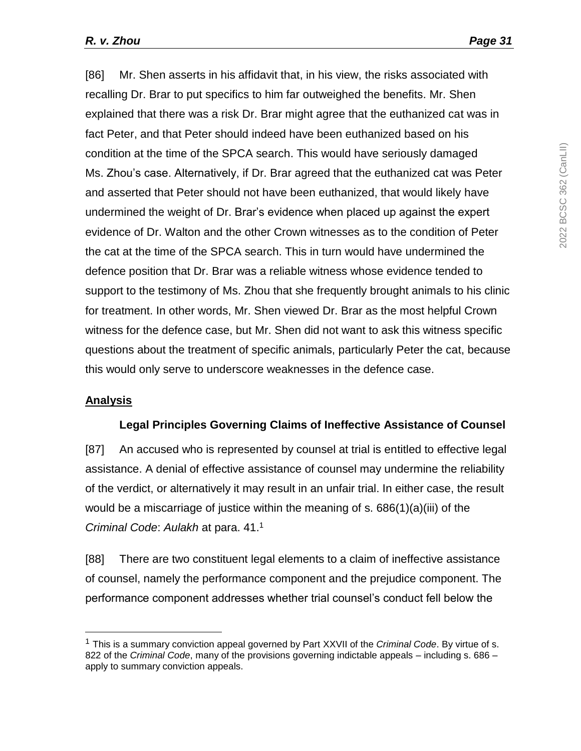[86] Mr. Shen asserts in his affidavit that, in his view, the risks associated with recalling Dr. Brar to put specifics to him far outweighed the benefits. Mr. Shen explained that there was a risk Dr. Brar might agree that the euthanized cat was in fact Peter, and that Peter should indeed have been euthanized based on his condition at the time of the SPCA search. This would have seriously damaged Ms. Zhou's case. Alternatively, if Dr. Brar agreed that the euthanized cat was Peter and asserted that Peter should not have been euthanized, that would likely have undermined the weight of Dr. Brar's evidence when placed up against the expert evidence of Dr. Walton and the other Crown witnesses as to the condition of Peter the cat at the time of the SPCA search. This in turn would have undermined the defence position that Dr. Brar was a reliable witness whose evidence tended to support to the testimony of Ms. Zhou that she frequently brought animals to his clinic for treatment. In other words, Mr. Shen viewed Dr. Brar as the most helpful Crown witness for the defence case, but Mr. Shen did not want to ask this witness specific questions about the treatment of specific animals, particularly Peter the cat, because this would only serve to underscore weaknesses in the defence case.

# **Analysis**

l

# **Legal Principles Governing Claims of Ineffective Assistance of Counsel**

[87] An accused who is represented by counsel at trial is entitled to effective legal assistance. A denial of effective assistance of counsel may undermine the reliability of the verdict, or alternatively it may result in an unfair trial. In either case, the result would be a miscarriage of justice within the meaning of s. 686(1)(a)(iii) of the *Criminal Code*: *Aulakh* at para. 41. 1

[88] There are two constituent legal elements to a claim of ineffective assistance of counsel, namely the performance component and the prejudice component. The performance component addresses whether trial counsel's conduct fell below the

<sup>1</sup> This is a summary conviction appeal governed by Part XXVII of the *Criminal Code*. By virtue of s. 822 of the *Criminal Code*, many of the provisions governing indictable appeals – including s. 686 – apply to summary conviction appeals.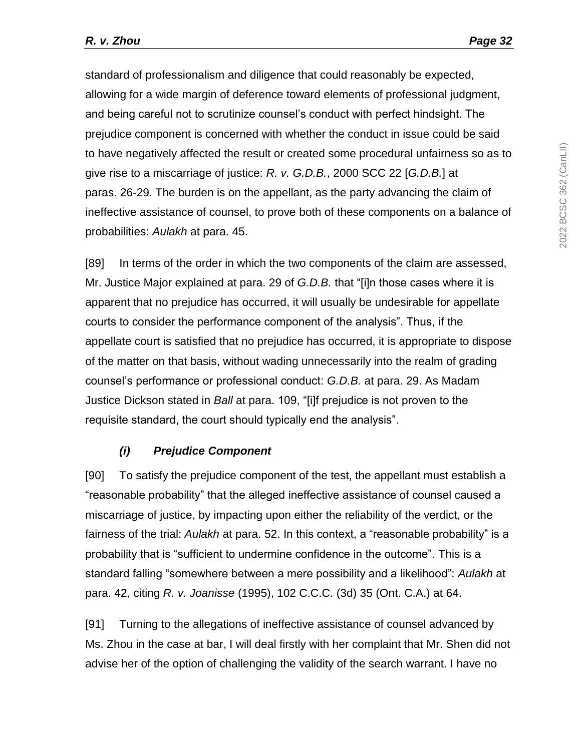standard of professionalism and diligence that could reasonably be expected, allowing for a wide margin of deference toward elements of professional judgment, and being careful not to scrutinize counsel's conduct with perfect hindsight. The prejudice component is concerned with whether the conduct in issue could be said to have negatively affected the result or created some procedural unfairness so as to give rise to a miscarriage of justice: *R. v. G.D.B.*, 2000 SCC 22 [*G.D.B.*] at paras. 26-29. The burden is on the appellant, as the party advancing the claim of ineffective assistance of counsel, to prove both of these components on a balance of probabilities: *Aulakh* at para. 45.

[89] In terms of the order in which the two components of the claim are assessed, Mr. Justice Major explained at para. 29 of *G.D.B.* that "[i]n those cases where it is apparent that no prejudice has occurred, it will usually be undesirable for appellate courts to consider the performance component of the analysis". Thus, if the appellate court is satisfied that no prejudice has occurred, it is appropriate to dispose of the matter on that basis, without wading unnecessarily into the realm of grading counsel's performance or professional conduct: *G.D.B.* at para. 29. As Madam Justice Dickson stated in *Ball* at para. 109, "[i]f prejudice is not proven to the requisite standard, the court should typically end the analysis".

# *(i) Prejudice Component*

[90] To satisfy the prejudice component of the test, the appellant must establish a "reasonable probability" that the alleged ineffective assistance of counsel caused a miscarriage of justice, by impacting upon either the reliability of the verdict, or the fairness of the trial: *Aulakh* at para. 52. In this context, a "reasonable probability" is a probability that is "sufficient to undermine confidence in the outcome". This is a standard falling "somewhere between a mere possibility and a likelihood": *Aulakh* at para. 42, citing *R. v. Joanisse* (1995), 102 C.C.C. (3d) 35 (Ont. C.A.) at 64.

[91] Turning to the allegations of ineffective assistance of counsel advanced by Ms. Zhou in the case at bar, I will deal firstly with her complaint that Mr. Shen did not advise her of the option of challenging the validity of the search warrant. I have no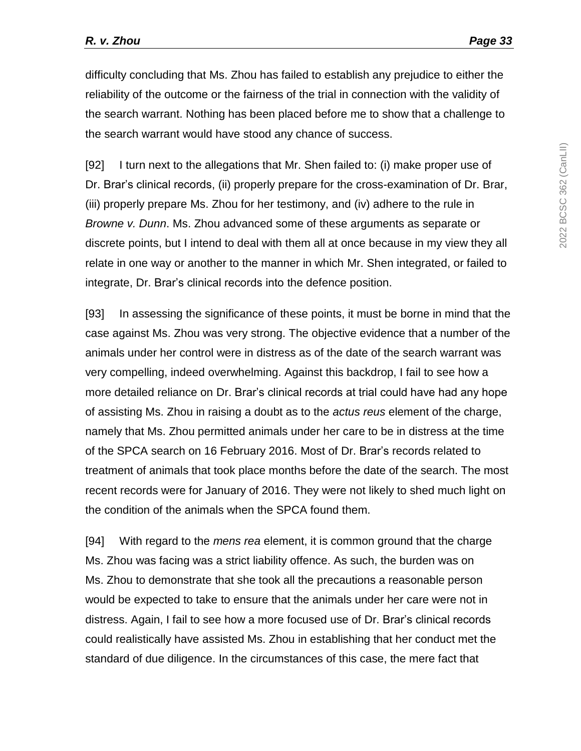difficulty concluding that Ms. Zhou has failed to establish any prejudice to either the reliability of the outcome or the fairness of the trial in connection with the validity of the search warrant. Nothing has been placed before me to show that a challenge to the search warrant would have stood any chance of success.

[92] I turn next to the allegations that Mr. Shen failed to: (i) make proper use of Dr. Brar's clinical records, (ii) properly prepare for the cross-examination of Dr. Brar, (iii) properly prepare Ms. Zhou for her testimony, and (iv) adhere to the rule in *Browne v. Dunn*. Ms. Zhou advanced some of these arguments as separate or discrete points, but I intend to deal with them all at once because in my view they all relate in one way or another to the manner in which Mr. Shen integrated, or failed to integrate, Dr. Brar's clinical records into the defence position.

[93] In assessing the significance of these points, it must be borne in mind that the case against Ms. Zhou was very strong. The objective evidence that a number of the animals under her control were in distress as of the date of the search warrant was very compelling, indeed overwhelming. Against this backdrop, I fail to see how a more detailed reliance on Dr. Brar's clinical records at trial could have had any hope of assisting Ms. Zhou in raising a doubt as to the *actus reus* element of the charge, namely that Ms. Zhou permitted animals under her care to be in distress at the time of the SPCA search on 16 February 2016. Most of Dr. Brar's records related to treatment of animals that took place months before the date of the search. The most recent records were for January of 2016. They were not likely to shed much light on the condition of the animals when the SPCA found them.

[94] With regard to the *mens rea* element, it is common ground that the charge Ms. Zhou was facing was a strict liability offence. As such, the burden was on Ms. Zhou to demonstrate that she took all the precautions a reasonable person would be expected to take to ensure that the animals under her care were not in distress. Again, I fail to see how a more focused use of Dr. Brar's clinical records could realistically have assisted Ms. Zhou in establishing that her conduct met the standard of due diligence. In the circumstances of this case, the mere fact that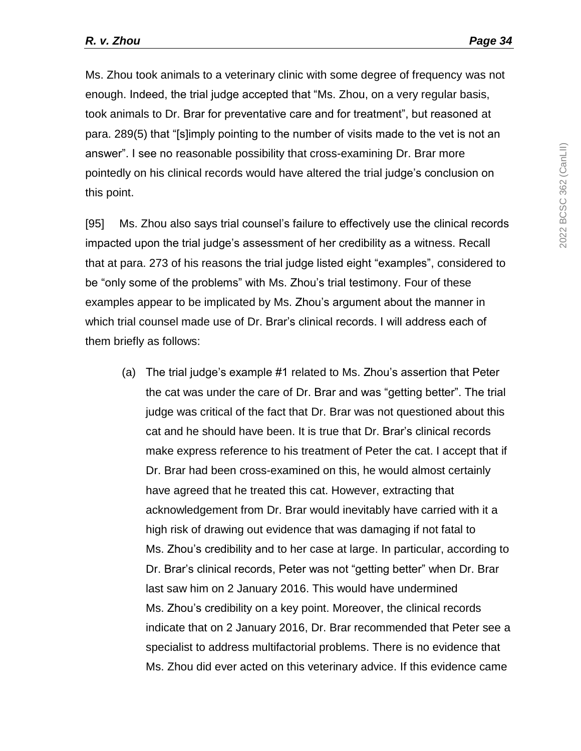Ms. Zhou took animals to a veterinary clinic with some degree of frequency was not enough. Indeed, the trial judge accepted that "Ms. Zhou, on a very regular basis, took animals to Dr. Brar for preventative care and for treatment", but reasoned at para. 289(5) that "[s]imply pointing to the number of visits made to the vet is not an answer". I see no reasonable possibility that cross-examining Dr. Brar more pointedly on his clinical records would have altered the trial judge's conclusion on this point.

[95] Ms. Zhou also says trial counsel's failure to effectively use the clinical records impacted upon the trial judge's assessment of her credibility as a witness. Recall that at para. 273 of his reasons the trial judge listed eight "examples", considered to be "only some of the problems" with Ms. Zhou's trial testimony. Four of these examples appear to be implicated by Ms. Zhou's argument about the manner in which trial counsel made use of Dr. Brar's clinical records. I will address each of them briefly as follows:

(a) The trial judge's example #1 related to Ms. Zhou's assertion that Peter the cat was under the care of Dr. Brar and was "getting better". The trial judge was critical of the fact that Dr. Brar was not questioned about this cat and he should have been. It is true that Dr. Brar's clinical records make express reference to his treatment of Peter the cat. I accept that if Dr. Brar had been cross-examined on this, he would almost certainly have agreed that he treated this cat. However, extracting that acknowledgement from Dr. Brar would inevitably have carried with it a high risk of drawing out evidence that was damaging if not fatal to Ms. Zhou's credibility and to her case at large. In particular, according to Dr. Brar's clinical records, Peter was not "getting better" when Dr. Brar last saw him on 2 January 2016. This would have undermined Ms. Zhou's credibility on a key point. Moreover, the clinical records indicate that on 2 January 2016, Dr. Brar recommended that Peter see a specialist to address multifactorial problems. There is no evidence that Ms. Zhou did ever acted on this veterinary advice. If this evidence came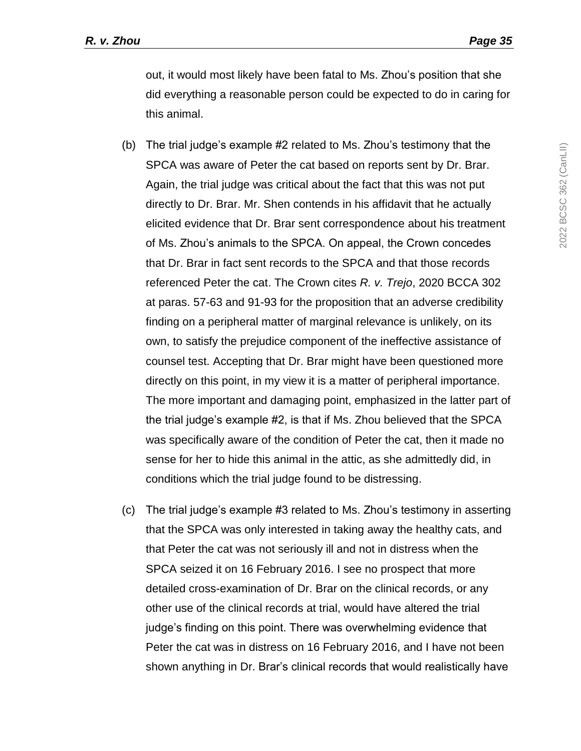out, it would most likely have been fatal to Ms. Zhou's position that she did everything a reasonable person could be expected to do in caring for this animal.

- (b) The trial judge's example #2 related to Ms. Zhou's testimony that the SPCA was aware of Peter the cat based on reports sent by Dr. Brar. Again, the trial judge was critical about the fact that this was not put directly to Dr. Brar. Mr. Shen contends in his affidavit that he actually elicited evidence that Dr. Brar sent correspondence about his treatment of Ms. Zhou's animals to the SPCA. On appeal, the Crown concedes that Dr. Brar in fact sent records to the SPCA and that those records referenced Peter the cat. The Crown cites *R. v. Trejo*, 2020 BCCA 302 at paras. 57-63 and 91-93 for the proposition that an adverse credibility finding on a peripheral matter of marginal relevance is unlikely, on its own, to satisfy the prejudice component of the ineffective assistance of counsel test. Accepting that Dr. Brar might have been questioned more directly on this point, in my view it is a matter of peripheral importance. The more important and damaging point, emphasized in the latter part of the trial judge's example #2, is that if Ms. Zhou believed that the SPCA was specifically aware of the condition of Peter the cat, then it made no sense for her to hide this animal in the attic, as she admittedly did, in conditions which the trial judge found to be distressing.
- (c) The trial judge's example #3 related to Ms. Zhou's testimony in asserting that the SPCA was only interested in taking away the healthy cats, and that Peter the cat was not seriously ill and not in distress when the SPCA seized it on 16 February 2016. I see no prospect that more detailed cross-examination of Dr. Brar on the clinical records, or any other use of the clinical records at trial, would have altered the trial judge's finding on this point. There was overwhelming evidence that Peter the cat was in distress on 16 February 2016, and I have not been shown anything in Dr. Brar's clinical records that would realistically have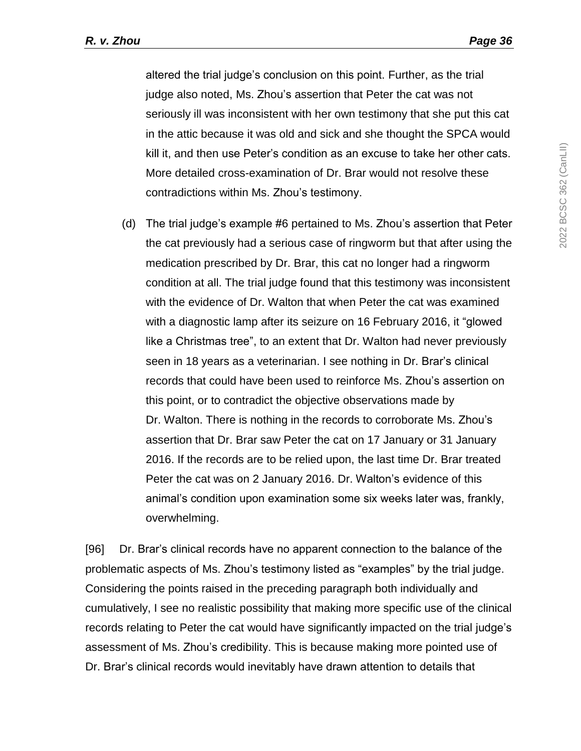altered the trial judge's conclusion on this point. Further, as the trial judge also noted, Ms. Zhou's assertion that Peter the cat was not seriously ill was inconsistent with her own testimony that she put this cat in the attic because it was old and sick and she thought the SPCA would kill it, and then use Peter's condition as an excuse to take her other cats. More detailed cross-examination of Dr. Brar would not resolve these contradictions within Ms. Zhou's testimony.

(d) The trial judge's example #6 pertained to Ms. Zhou's assertion that Peter the cat previously had a serious case of ringworm but that after using the medication prescribed by Dr. Brar, this cat no longer had a ringworm condition at all. The trial judge found that this testimony was inconsistent with the evidence of Dr. Walton that when Peter the cat was examined with a diagnostic lamp after its seizure on 16 February 2016, it "glowed like a Christmas tree", to an extent that Dr. Walton had never previously seen in 18 years as a veterinarian. I see nothing in Dr. Brar's clinical records that could have been used to reinforce Ms. Zhou's assertion on this point, or to contradict the objective observations made by Dr. Walton. There is nothing in the records to corroborate Ms. Zhou's assertion that Dr. Brar saw Peter the cat on 17 January or 31 January 2016. If the records are to be relied upon, the last time Dr. Brar treated Peter the cat was on 2 January 2016. Dr. Walton's evidence of this animal's condition upon examination some six weeks later was, frankly, overwhelming.

[96] Dr. Brar's clinical records have no apparent connection to the balance of the problematic aspects of Ms. Zhou's testimony listed as "examples" by the trial judge. Considering the points raised in the preceding paragraph both individually and cumulatively, I see no realistic possibility that making more specific use of the clinical records relating to Peter the cat would have significantly impacted on the trial judge's assessment of Ms. Zhou's credibility. This is because making more pointed use of Dr. Brar's clinical records would inevitably have drawn attention to details that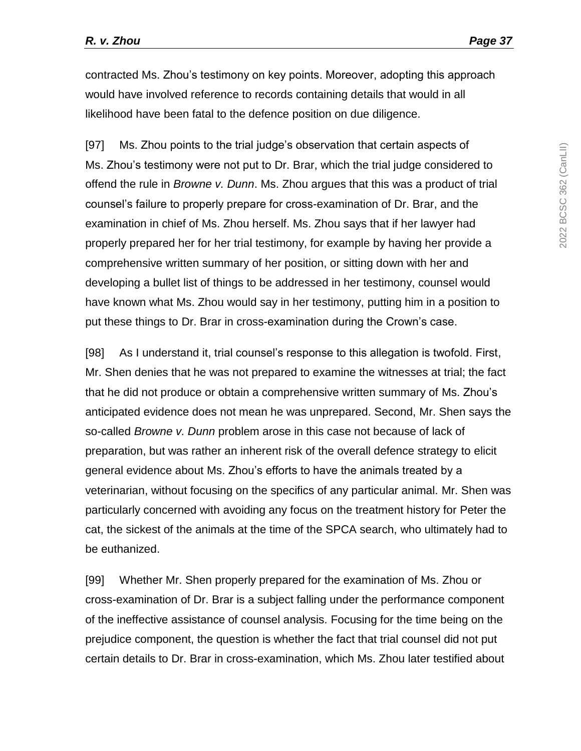contracted Ms. Zhou's testimony on key points. Moreover, adopting this approach would have involved reference to records containing details that would in all likelihood have been fatal to the defence position on due diligence.

[97] Ms. Zhou points to the trial judge's observation that certain aspects of Ms. Zhou's testimony were not put to Dr. Brar, which the trial judge considered to offend the rule in *Browne v. Dunn*. Ms. Zhou argues that this was a product of trial counsel's failure to properly prepare for cross-examination of Dr. Brar, and the examination in chief of Ms. Zhou herself. Ms. Zhou says that if her lawyer had properly prepared her for her trial testimony, for example by having her provide a comprehensive written summary of her position, or sitting down with her and developing a bullet list of things to be addressed in her testimony, counsel would have known what Ms. Zhou would say in her testimony, putting him in a position to put these things to Dr. Brar in cross-examination during the Crown's case.

[98] As I understand it, trial counsel's response to this allegation is twofold. First, Mr. Shen denies that he was not prepared to examine the witnesses at trial; the fact that he did not produce or obtain a comprehensive written summary of Ms. Zhou's anticipated evidence does not mean he was unprepared. Second, Mr. Shen says the so-called *Browne v. Dunn* problem arose in this case not because of lack of preparation, but was rather an inherent risk of the overall defence strategy to elicit general evidence about Ms. Zhou's efforts to have the animals treated by a veterinarian, without focusing on the specifics of any particular animal. Mr. Shen was particularly concerned with avoiding any focus on the treatment history for Peter the cat, the sickest of the animals at the time of the SPCA search, who ultimately had to be euthanized.

[99] Whether Mr. Shen properly prepared for the examination of Ms. Zhou or cross-examination of Dr. Brar is a subject falling under the performance component of the ineffective assistance of counsel analysis. Focusing for the time being on the prejudice component, the question is whether the fact that trial counsel did not put certain details to Dr. Brar in cross-examination, which Ms. Zhou later testified about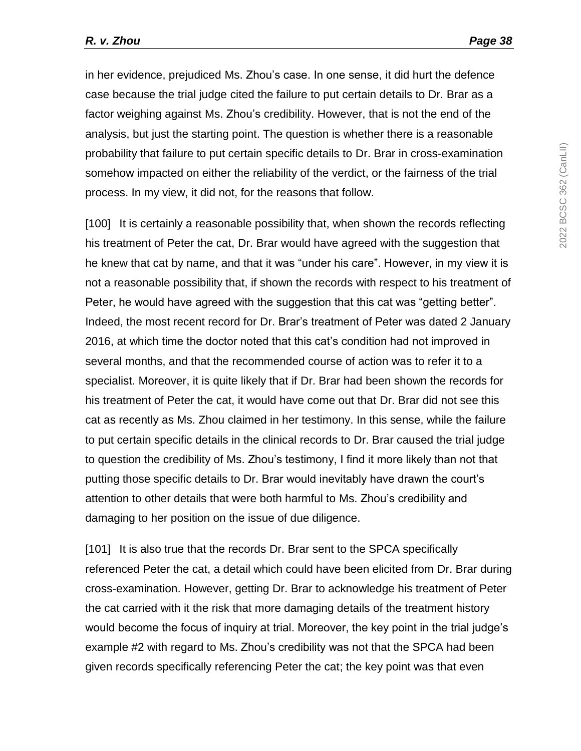in her evidence, prejudiced Ms. Zhou's case. In one sense, it did hurt the defence case because the trial judge cited the failure to put certain details to Dr. Brar as a factor weighing against Ms. Zhou's credibility. However, that is not the end of the analysis, but just the starting point. The question is whether there is a reasonable probability that failure to put certain specific details to Dr. Brar in cross-examination somehow impacted on either the reliability of the verdict, or the fairness of the trial process. In my view, it did not, for the reasons that follow.

[100] It is certainly a reasonable possibility that, when shown the records reflecting his treatment of Peter the cat, Dr. Brar would have agreed with the suggestion that he knew that cat by name, and that it was "under his care". However, in my view it is not a reasonable possibility that, if shown the records with respect to his treatment of Peter, he would have agreed with the suggestion that this cat was "getting better". Indeed, the most recent record for Dr. Brar's treatment of Peter was dated 2 January 2016, at which time the doctor noted that this cat's condition had not improved in several months, and that the recommended course of action was to refer it to a specialist. Moreover, it is quite likely that if Dr. Brar had been shown the records for his treatment of Peter the cat, it would have come out that Dr. Brar did not see this cat as recently as Ms. Zhou claimed in her testimony. In this sense, while the failure to put certain specific details in the clinical records to Dr. Brar caused the trial judge to question the credibility of Ms. Zhou's testimony, I find it more likely than not that putting those specific details to Dr. Brar would inevitably have drawn the court's attention to other details that were both harmful to Ms. Zhou's credibility and damaging to her position on the issue of due diligence.

[101] It is also true that the records Dr. Brar sent to the SPCA specifically referenced Peter the cat, a detail which could have been elicited from Dr. Brar during cross-examination. However, getting Dr. Brar to acknowledge his treatment of Peter the cat carried with it the risk that more damaging details of the treatment history would become the focus of inquiry at trial. Moreover, the key point in the trial judge's example #2 with regard to Ms. Zhou's credibility was not that the SPCA had been given records specifically referencing Peter the cat; the key point was that even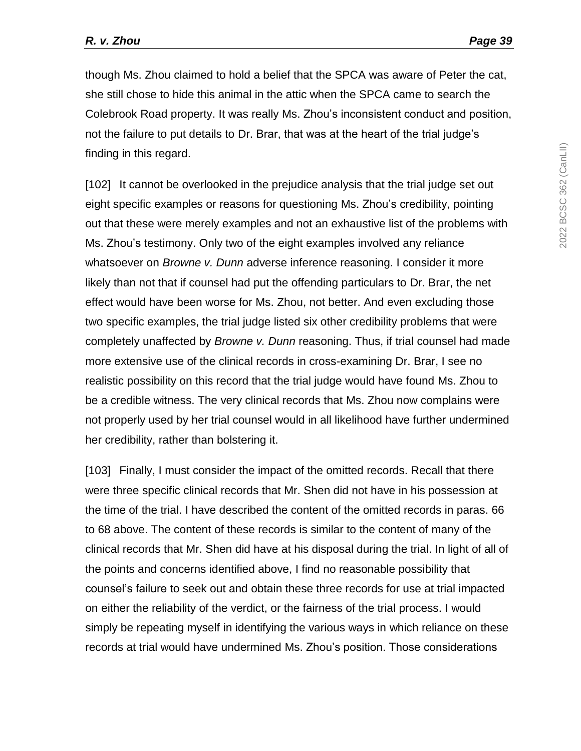though Ms. Zhou claimed to hold a belief that the SPCA was aware of Peter the cat, she still chose to hide this animal in the attic when the SPCA came to search the Colebrook Road property. It was really Ms. Zhou's inconsistent conduct and position, not the failure to put details to Dr. Brar, that was at the heart of the trial judge's finding in this regard.

[102] It cannot be overlooked in the prejudice analysis that the trial judge set out eight specific examples or reasons for questioning Ms. Zhou's credibility, pointing out that these were merely examples and not an exhaustive list of the problems with Ms. Zhou's testimony. Only two of the eight examples involved any reliance whatsoever on *Browne v. Dunn* adverse inference reasoning. I consider it more likely than not that if counsel had put the offending particulars to Dr. Brar, the net effect would have been worse for Ms. Zhou, not better. And even excluding those two specific examples, the trial judge listed six other credibility problems that were completely unaffected by *Browne v. Dunn* reasoning. Thus, if trial counsel had made more extensive use of the clinical records in cross-examining Dr. Brar, I see no realistic possibility on this record that the trial judge would have found Ms. Zhou to be a credible witness. The very clinical records that Ms. Zhou now complains were not properly used by her trial counsel would in all likelihood have further undermined her credibility, rather than bolstering it.

[103] Finally, I must consider the impact of the omitted records. Recall that there were three specific clinical records that Mr. Shen did not have in his possession at the time of the trial. I have described the content of the omitted records in paras. 66 to 68 above. The content of these records is similar to the content of many of the clinical records that Mr. Shen did have at his disposal during the trial. In light of all of the points and concerns identified above, I find no reasonable possibility that counsel's failure to seek out and obtain these three records for use at trial impacted on either the reliability of the verdict, or the fairness of the trial process. I would simply be repeating myself in identifying the various ways in which reliance on these records at trial would have undermined Ms. Zhou's position. Those considerations